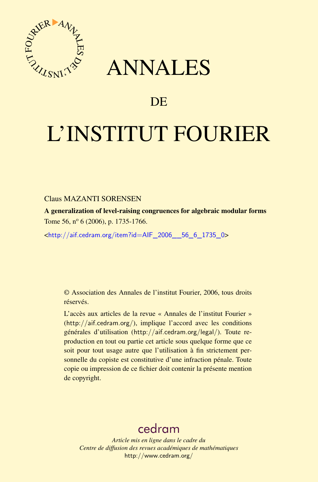

## ANNALES

### **DE**

# L'INSTITUT FOURIER

#### Claus MAZANTI SORENSEN

A generalization of level-raising congruences for algebraic modular forms Tome 56,  $n^{\circ}$  6 (2006), p. 1735-1766.

<[http://aif.cedram.org/item?id=AIF\\_2006\\_\\_56\\_6\\_1735\\_0](http://aif.cedram.org/item?id=AIF_2006__56_6_1735_0)>

© Association des Annales de l'institut Fourier, 2006, tous droits réservés.

L'accès aux articles de la revue « Annales de l'institut Fourier » (<http://aif.cedram.org/>), implique l'accord avec les conditions générales d'utilisation (<http://aif.cedram.org/legal/>). Toute reproduction en tout ou partie cet article sous quelque forme que ce soit pour tout usage autre que l'utilisation à fin strictement personnelle du copiste est constitutive d'une infraction pénale. Toute copie ou impression de ce fichier doit contenir la présente mention de copyright.

## [cedram](http://www.cedram.org/)

*Article mis en ligne dans le cadre du Centre de diffusion des revues académiques de mathématiques* <http://www.cedram.org/>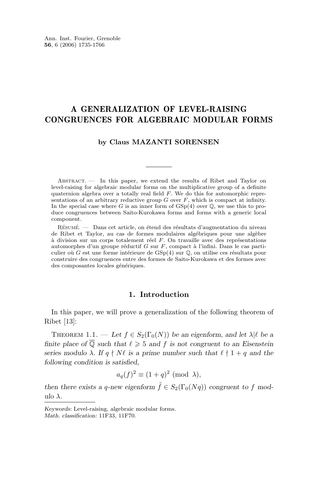#### A GENERALIZATION OF LEVEL-RAISING CONGRUENCES FOR ALGEBRAIC MODULAR FORMS

#### **by Claus MAZANTI SORENSEN**

Abstract. — In this paper, we extend the results of Ribet and Taylor on level-raising for algebraic modular forms on the multiplicative group of a definite quaternion algebra over a totally real field F. We do this for automorphic representations of an arbitrary reductive group  $G$  over  $F$ , which is compact at infinity. In the special case where G is an inner form of  $GSp(4)$  over  $\mathbb Q$ , we use this to produce congruences between Saito-Kurokawa forms and forms with a generic local component.

Résumé. — Dans cet article, on étend des résultats d'augmentation du niveau de Ribet et Taylor, au cas de formes modulaires algébriques pour une algèbre à division sur un corps totalement réel F. On travaille avec des représentations automorphes d'un groupe réductif G sur F, compact à l'infini. Dans le cas particulier où G est une forme intérieure de  $GSp(4)$  sur  $\mathbb Q$ , on utilise ces résultats pour construire des congruences entre des formes de Saito-Kurokawa et des formes avec des composantes locales génériques.

#### **1. Introduction**

In this paper, we will prove a generalization of the following theorem of Ribet [\[13\]](#page-31-0):

THEOREM 1.1. — Let  $f \in S_2(\Gamma_0(N))$  be an eigenform, and let  $\lambda | \ell$  be a *finite place of*  $\overline{Q}$  *such that*  $\ell \geq 5$  *and* f *is not congruent to an Eisenstein series modulo*  $\lambda$ *. If*  $q \nmid N\ell$  *is a prime number such that*  $\ell \nmid 1 + q$  *and the following condition is satisfied,*

$$
a_q(f)^2 \equiv (1+q)^2 \pmod{\lambda},
$$

*then there exists a q-new eigenform*  $\tilde{f} \in S_2(\Gamma_0(Nq))$  *congruent to* f *modulo* λ*.*

*Keywords:* Level-raising, algebraic modular forms. *Math. classification:* 11F33, 11F70.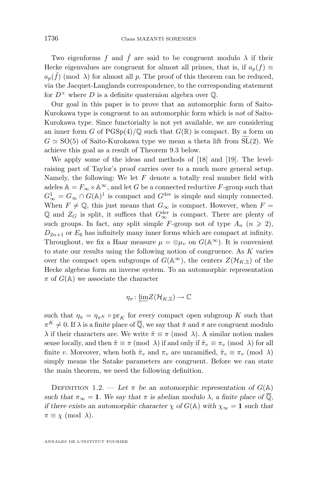Two eigenforms f and  $\tilde{f}$  are said to be congruent modulo  $\lambda$  if their Hecke eigenvalues are congruent for almost all primes, that is, if  $a_p(f) \equiv$  $a_p(\tilde{f})$  (mod  $\lambda$ ) for almost all p. The proof of this theorem can be reduced, via the Jacquet-Langlands correspondence, to the corresponding statement for  $D^{\times}$  where D is a definite quaternion algebra over  $\mathbb{Q}$ .

Our goal in this paper is to prove that an automorphic form of Saito-Kurokawa type is congruent to an automorphic form which is not of Saito-Kurokawa type. Since functorialty is not yet available, we are considering an inner form G of  $PGSp(4)/\mathbb{Q}$  such that  $G(\mathbb{R})$  is compact. By a form on  $G \simeq SO(5)$  of Saito-Kurokawa type we mean a theta lift from SL(2). We achieve this goal as a result of Theorem [9.3](#page-25-0) below.

We apply some of the ideas and methods of [\[18\]](#page-31-0) and [\[19\]](#page-31-0). The levelraising part of Taylor's proof carries over to a much more general setup. Namely, the following: We let  $F$  denote a totally real number field with adeles  $A = F_{\infty} \times A^{\infty}$ , and let G be a connected reductive F-group such that  $G^1_{\infty} = G_{\infty} \cap G(\mathbb{A})^1$  is compact and  $G^{\text{der}}$  is simple and simply connected. When  $F \neq \mathbb{Q}$ , this just means that  $G_{\infty}$  is compact. However, when  $F =$  $\mathbb Q$  and  $Z_G$  is split, it suffices that  $G_\infty^{\text{der}}$  is compact. There are plenty of such groups. In fact, any split simple F-group not of type  $A_n$   $(n \geq 2)$ ,  $D_{2n+1}$  or  $E_6$  has infinitely many inner forms which are compact at infinity. Throughout, we fix a Haar measure  $\mu = \otimes \mu_v$  on  $G(\mathbb{A}^{\infty})$ . It is convenient to state our results using the following notion of congruence. As K varies over the compact open subgroups of  $G(\mathbb{A}^{\infty})$ , the centers  $Z(\mathcal{H}_{K,\mathbb{Z}})$  of the Hecke algebras form an inverse system. To an automorphic representation  $\pi$  of  $G(\mathbb{A})$  we associate the character

$$
\eta_{\pi} \colon \underleftarrow{\lim} Z(\mathcal{H}_{K,\mathbb{Z}}) \to \mathbb{C}
$$

such that  $\eta_{\pi} = \eta_{\pi^K} \circ \text{pr}_K$  for every compact open subgroup K such that  $\pi^K \neq 0$ . If  $\lambda$  is a finite place of  $\overline{\mathbb{Q}}$ , we say that  $\tilde{\pi}$  and  $\pi$  are congruent modulo  $\lambda$  if their characters are. We write  $\tilde{\pi} \equiv \pi \pmod{\lambda}$ . A similar notion makes sense locally, and then  $\tilde{\pi} \equiv \pi \pmod{\lambda}$  if and only if  $\tilde{\pi}_v \equiv \pi_v \pmod{\lambda}$  for all finite v. Moreover, when both  $\tilde{\pi}_v$  and  $\pi_v$  are unramified,  $\tilde{\pi}_v \equiv \pi_v \pmod{\lambda}$ simply means the Satake parameters are congruent. Before we can state the main theorem, we need the following definition.

DEFINITION 1.2. — Let  $\pi$  be an automorphic representation of  $G(\mathbb{A})$ *such that*  $\pi_{\infty} = 1$ *. We say that*  $\pi$  *is abelian modulo*  $\lambda$ *, a finite place of*  $\overline{Q}$ *, if there exists an automorphic character*  $\chi$  *of*  $G(\mathbb{A})$  *with*  $\chi_{\infty} = 1$  *such that*  $\pi \equiv \chi \pmod{\lambda}$ .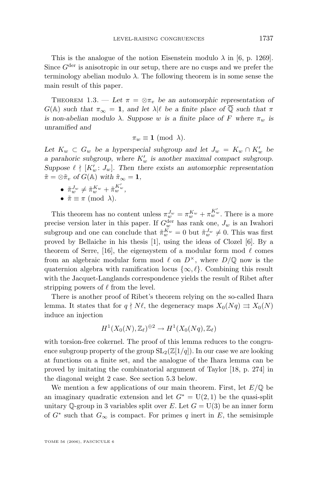<span id="page-3-0"></span>This is the analogue of the notion Eisenstein modulo  $\lambda$  in [\[6,](#page-31-0) p. 1269]. Since  $G^{\text{der}}$  is anisotropic in our setup, there are no cusps and we prefer the terminology abelian modulo  $\lambda$ . The following theorem is in some sense the main result of this paper.

THEOREM 1.3. — Let  $\pi = \otimes \pi_v$  be an automorphic representation of  $G(A)$  *such that*  $\pi_{\infty} = 1$ *, and let*  $\lambda | \ell$  *be a finite place of*  $\overline{Q}$  *such that*  $\pi$ *is non-abelian modulo*  $\lambda$ *. Suppose* w *is a finite place of* F where  $\pi_w$  *is unramified and*

$$
\pi_w \equiv \mathbf{1} \text{ (mod }\lambda).
$$

Let  $K_w \subset G_w$  be a hyperspecial subgroup and let  $J_w = K_w \cap K'_w$  be *a parahoric subgroup, where*  $K'_w$  *is another maximal compact subgroup.* Suppose  $\ell \nmid [K'_w: J_w]$ . Then there exists an automorphic representation  $\tilde{\pi} = \otimes \tilde{\pi}_v$  *of*  $G(\mathbb{A})$  *with*  $\tilde{\pi}_{\infty} = 1$ *,* 

$$
\bullet\enspace \tilde{\pi}^{J_w}_w \neq \tilde{\pi}^{K_w}_w + \tilde{\pi}^{K'_w}_w,
$$

• 
$$
\tilde{\pi} \equiv \pi \pmod{\lambda}
$$
.

This theorem has no content unless  $\pi_w^{J_w} = \pi_w^{K_w} + \pi_w^{K'_w}$ . There is a more precise version later in this paper. If  $G_w^{\text{der}}$  has rank one,  $J_w$  is an Iwahori subgroup and one can conclude that  $\tilde{\pi}_w^{K_w} = 0$  but  $\tilde{\pi}_w^{J_w} \neq 0$ . This was first proved by Bellaiche in his thesis [\[1\]](#page-31-0), using the ideas of Clozel [\[6\]](#page-31-0). By a theorem of Serre, [\[16\]](#page-31-0), the eigensystem of a modular form mod  $\ell$  comes from an algebraic modular form mod  $\ell$  on  $D^{\times}$ , where  $D/\mathbb{Q}$  now is the quaternion algebra with ramification locus  $\{\infty, \ell\}$ . Combining this result with the Jacquet-Langlands correspondence yields the result of Ribet after stripping powers of  $\ell$  from the level.

There is another proof of Ribet's theorem relying on the so-called Ihara lemma. It states that for  $q \nmid N\ell$ , the degeneracy maps  $X_0(Nq) \rightrightarrows X_0(N)$ induce an injection

$$
H^1(X_0(N),\mathbb{Z}_\ell)^{\oplus 2} \to H^1(X_0(Nq),\mathbb{Z}_\ell)
$$

with torsion-free cokernel. The proof of this lemma reduces to the congruence subgroup property of the group  $SL_2(\mathbb{Z}[1/q])$ . In our case we are looking at functions on a finite set, and the analogue of the Ihara lemma can be proved by imitating the combinatorial argument of Taylor [\[18,](#page-31-0) p. 274] in the diagonal weight 2 case. See section [5.3](#page-12-0) below.

We mention a few applications of our main theorem. First, let  $E/\mathbb{Q}$  be an imaginary quadratic extension and let  $G^* = U(2, 1)$  be the quasi-split unitary Q-group in 3 variables split over E. Let  $G = U(3)$  be an inner form of  $G^*$  such that  $G_{\infty}$  is compact. For primes q inert in E, the semisimple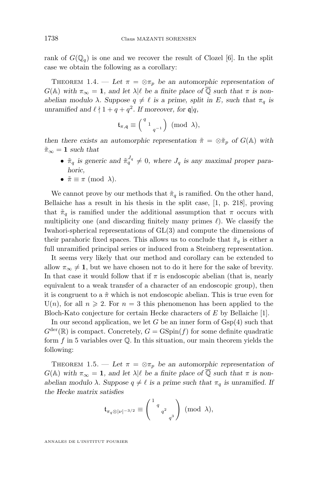<span id="page-4-0"></span>rank of  $G(\mathbb{Q}_q)$  is one and we recover the result of Clozel [\[6\]](#page-31-0). In the split case we obtain the following as a corollary:

THEOREM 1.4. — Let  $\pi = \otimes \pi_p$  be an automorphic representation of  $G(\mathbb{A})$  with  $\pi_{\infty} = 1$ , and let  $\lambda | \ell$  be a finite place of  $\overline{Q}$  such that  $\pi$  is non*abelian modulo*  $\lambda$ *. Suppose*  $q \neq \ell$  *is a prime, split in* E*, such that*  $\pi_q$  *is unramified and*  $\ell \nmid 1 + q + q^2$ *. If moreover, for*  $\mathfrak{q} | q$ *,* 

$$
\mathfrak{t}_{\pi,\mathfrak{q}} \equiv \left(\begin{smallmatrix} q & & & \\ & 1 & & \\ & & q^{-1} \end{smallmatrix}\right) \ (\mathrm{mod} \ \lambda),
$$

*then there exists an automorphic representation*  $\tilde{\pi} = \otimes \tilde{\pi}_p$  *of*  $G(\mathbb{A})$  *with*  $\tilde{\pi}_{\infty} = 1$  *such that* 

- $\tilde{\pi}_q$  is generic and  $\tilde{\pi}_q^{J_q} \neq 0$ , where  $J_q$  is any maximal proper para*horic,*
- $\tilde{\pi} \equiv \pi \pmod{\lambda}$ .

We cannot prove by our methods that  $\tilde{\pi}_q$  is ramified. On the other hand, Bellaiche has a result in his thesis in the split case, [\[1,](#page-31-0) p. 218], proving that  $\tilde{\pi}_q$  is ramified under the additional assumption that  $\pi$  occurs with multiplicity one (and discarding finitely many primes  $\ell$ ). We classify the Iwahori-spherical representations of GL(3) and compute the dimensions of their parahoric fixed spaces. This allows us to conclude that  $\tilde{\pi}_q$  is either a full unramified principal series or induced from a Steinberg representation.

It seems very likely that our method and corollary can be extended to allow  $\pi_{\infty} \neq 1$ , but we have chosen not to do it here for the sake of brevity. In that case it would follow that if  $\pi$  is endoscopic abelian (that is, nearly equivalent to a weak transfer of a character of an endoscopic group), then it is congruent to a  $\tilde{\pi}$  which is not endoscopic abelian. This is true even for  $U(n)$ , for all  $n \ge 2$ . For  $n = 3$  this phenomenon has been applied to the Bloch-Kato conjecture for certain Hecke characters of E by Bellaiche [\[1\]](#page-31-0).

In our second application, we let G be an inner form of  $Gsp(4)$  such that  $G^{\text{der}}(\mathbb{R})$  is compact. Concretely,  $G = \text{GSpin}(f)$  for some definite quadratic form  $f$  in 5 variables over  $\mathbb Q$ . In this situation, our main theorem yields the following:

THEOREM 1.5. — Let  $\pi = \otimes \pi_p$  be an automorphic representation of  $G(\mathbb{A})$  with  $\pi_{\infty} = 1$ , and let  $\lambda | \ell$  be a finite place of  $\mathbb{Q}$  such that  $\pi$  is non*abelian modulo*  $\lambda$ *. Suppose*  $q \neq \ell$  *is a prime such that*  $\pi_q$  *is unramified. If the Hecke matrix satisfies*

$$
\mathfrak{t}_{\pi_q \otimes |\nu|^{-3/2}} \equiv \binom{1_{q}}{q^2_{q^3}} \pmod{\lambda},
$$

ANNALES DE L'INSTITUT FOURIER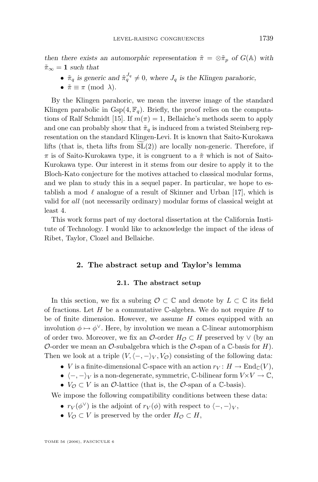*then there exists an automorphic representation*  $\tilde{\pi} = \otimes \tilde{\pi}_p$  *of*  $G(\mathbb{A})$  *with*  $\tilde{\pi}_{\infty} = 1$  such that

- $\tilde{\pi}_q$  is generic and  $\tilde{\pi}_q^{J_q} \neq 0$ , where  $J_q$  is the Klingen parahoric,
- $\tilde{\pi} \equiv \pi \pmod{\lambda}$ .

By the Klingen parahoric, we mean the inverse image of the standard Klingen parabolic in  $Gsp(4, \mathbb{F}_q)$ . Briefly, the proof relies on the computa-tions of Ralf Schmidt [\[15\]](#page-31-0). If  $m(\pi) = 1$ , Bellaiche's methods seem to apply and one can probably show that  $\tilde{\pi}_q$  is induced from a twisted Steinberg representation on the standard Klingen-Levi. It is known that Saito-Kurokawa lifts (that is, theta lifts from  $SL(2)$ ) are locally non-generic. Therefore, if  $\pi$  is of Saito-Kurokawa type, it is congruent to a  $\tilde{\pi}$  which is not of Saito-Kurokawa type. Our interest in it stems from our desire to apply it to the Bloch-Kato conjecture for the motives attached to classical modular forms, and we plan to study this in a sequel paper. In particular, we hope to establish a mod  $\ell$  analogue of a result of Skinner and Urban [\[17\]](#page-31-0), which is valid for all (not necessarily ordinary) modular forms of classical weight at least 4.

This work forms part of my doctoral dissertation at the California Institute of Technology. I would like to acknowledge the impact of the ideas of Ribet, Taylor, Clozel and Bellaiche.

#### **2. The abstract setup and Taylor's lemma**

#### **2.1. The abstract setup**

In this section, we fix a subring  $\mathcal{O} \subset \mathbb{C}$  and denote by  $L \subset \mathbb{C}$  its field of fractions. Let  $H$  be a commutative C-algebra. We do not require  $H$  to be of finite dimension. However, we assume  $H$  comes equipped with an involution  $\phi \mapsto \phi^{\vee}$ . Here, by involution we mean a C-linear automorphism of order two. Moreover, we fix an  $\mathcal{O}$ -order  $H_{\mathcal{O}} \subset H$  preserved by  $\vee$  (by an O-order we mean an O-subalgebra which is the O-span of a  $\mathbb C$ -basis for H). Then we look at a triple  $(V, \langle -, -\rangle_V, V_{\mathcal{O}})$  consisting of the following data:

- V is a finite-dimensional C-space with an action  $r_V : H \to \text{End}_{\mathbb{C}}(V)$ ,
- $\langle -, -\rangle_V$  is a non-degenerate, symmetric, C-bilinear form  $V \times V \to \mathbb{C}$ ,
- $V_{\mathcal{O}} \subset V$  is an  $\mathcal{O}\text{-}$ lattice (that is, the  $\mathcal{O}\text{-}span$  of a  $\mathbb{C}\text{-}basis$ ).

We impose the following compatibility conditions between these data:

- $r_V(\phi^\vee)$  is the adjoint of  $r_V(\phi)$  with respect to  $\langle -, -\rangle_V$ ,
- $V_{\mathcal{O}} \subset V$  is preserved by the order  $H_{\mathcal{O}} \subset H$ ,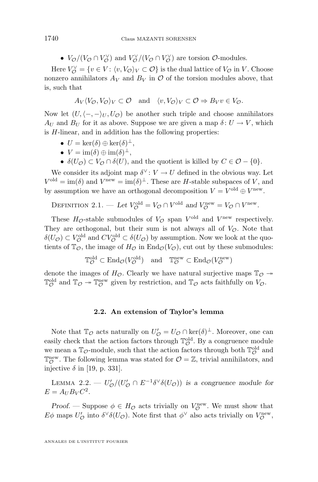•  $V_{\mathcal{O}}/(V_{\mathcal{O}} \cap V_{\mathcal{O}}^{\vee})$  and  $V_{\mathcal{O}}^{\vee}/(V_{\mathcal{O}} \cap V_{\mathcal{O}}^{\vee})$  are torsion  $\mathcal{O}$ -modules.

Here  $V_{\mathcal{O}}^{\vee} = \{v \in V : \langle v, V_{\mathcal{O}} \rangle_V \subset \mathcal{O}\}\$ is the dual lattice of  $V_{\mathcal{O}}$  in V. Choose nonzero annihilators  $A_V$  and  $B_V$  in  $\mathcal O$  of the torsion modules above, that is, such that

$$
A_V \langle V_O, V_O \rangle_V \subset \mathcal{O}
$$
 and  $\langle v, V_O \rangle_V \subset \mathcal{O} \Rightarrow B_V v \in V_O$ .

Now let  $(U, \langle -, -\rangle_U, U_{\mathcal{O}})$  be another such triple and choose annihilators  $A_U$  and  $B_U$  for it as above. Suppose we are given a map  $\delta: U \to V$ , which is H-linear, and in addition has the following properties:

- $U = \ker(\delta) \oplus \ker(\delta)^{\perp},$
- $V = \text{im}(\delta) \oplus \text{im}(\delta)^{\perp},$
- $\delta(U_{\mathcal{O}}) \subset V_{\mathcal{O}} \cap \delta(U)$ , and the quotient is killed by  $C \in \mathcal{O} \{0\}.$

We consider its adjoint map  $\delta^{\vee}$ :  $V \to U$  defined in the obvious way. Let  $V^{\text{old}} = \text{im}(\delta)$  and  $V^{\text{new}} = \text{im}(\delta)^{\perp}$ . These are H-stable subspaces of V, and by assumption we have an orthogonal decomposition  $V = V^{\text{old}} \oplus V^{\text{new}}$ .

DEFINITION 2.1. — Let 
$$
V_{\mathcal{O}}^{\text{old}} = V_{\mathcal{O}} \cap V^{\text{old}}
$$
 and  $V_{\mathcal{O}}^{\text{new}} = V_{\mathcal{O}} \cap V^{\text{new}}$ .

These  $H_{\mathcal{O}}$ -stable submodules of  $V_{\mathcal{O}}$  span  $V^{\text{old}}$  and  $V^{\text{new}}$  respectively. They are orthogonal, but their sum is not always all of  $V_{\mathcal{O}}$ . Note that  $\delta(U_{\mathcal{O}}) \subset V_{\mathcal{O}}^{\text{old}}$  and  $CV_{\mathcal{O}}^{\text{old}} \subset \delta(U_{\mathcal{O}})$  by assumption. Now we look at the quotients of  $\mathbb{T}_{\mathcal{O}}$ , the image of  $H_{\mathcal{O}}$  in  $\text{End}_{\mathcal{O}}(V_{\mathcal{O}})$ , cut out by these submodules:

$$
\mathbb{T}^{\text{old}}_{\mathcal{O}} \subset \text{End}_{\mathcal{O}}(V^{\text{old}}_{\mathcal{O}}) \quad \text{and} \quad \mathbb{T}^{\text{new}}_{\mathcal{O}} \subset \text{End}_{\mathcal{O}}(V^{\text{new}}_{\mathcal{O}})
$$

denote the images of  $H_{\mathcal{O}}$ . Clearly we have natural surjective maps  $\mathbb{T}_{\mathcal{O}} \rightarrow$  $\mathbb{T}_{\mathcal{O}}^{\text{old}}$  and  $\mathbb{T}_{\mathcal{O}} \twoheadrightarrow \mathbb{T}_{\mathcal{O}}^{\text{new}}$  given by restriction, and  $\mathbb{T}_{\mathcal{O}}$  acts faithfully on  $V_{\mathcal{O}}$ .

#### **2.2. An extension of Taylor's lemma**

Note that  $\mathbb{T}_{\mathcal{O}}$  acts naturally on  $U'_{\mathcal{O}} = U_{\mathcal{O}} \cap \ker(\delta)^{\perp}$ . Moreover, one can easily check that the action factors through  $\mathbb{T}^\text{old}_\mathcal{O}$ . By a congruence module we mean a  $\mathbb{T}_{\mathcal{O}}\text{-module, such that the action factors through both } \mathbb{T}_{\mathcal{O}}^{\text{old}}$  and  $\mathbb{T}_{\mathcal{O}}^{\text{new}}$ . The following lemma was stated for  $\mathcal{O} = \mathbb{Z}$ , trivial annihilators, and injective  $\delta$  in [\[19,](#page-31-0) p. 331].

LEMMA 2.2. —  $U'_{\mathcal{O}}/(U'_{\mathcal{O}} \cap E^{-1} \delta^{\vee} \delta(U_{\mathcal{O}}))$  is a congruence module for  $E = A_U B_V C^2$ .

*Proof.* — Suppose  $\phi \in H_{\mathcal{O}}$  acts trivially on  $V_{\mathcal{O}}^{\text{new}}$ . We must show that  $E\phi$  maps  $U'_{\mathcal{O}}$  into  $\delta^{\vee}\delta(U_{\mathcal{O}})$ . Note first that  $\phi^{\vee}$  also acts trivially on  $V_{\mathcal{O}}^{\text{new}}$ ,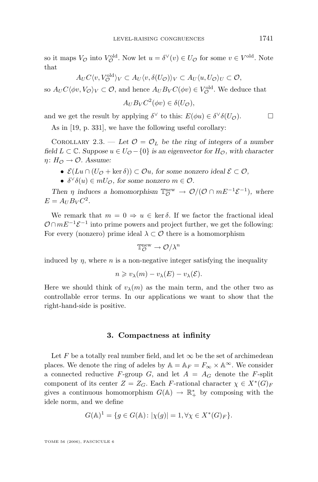<span id="page-7-0"></span>so it maps  $V_{\mathcal{O}}$  into  $V_{\mathcal{O}}^{\text{old}}$ . Now let  $u = \delta^{\vee}(v) \in U_{\mathcal{O}}$  for some  $v \in V^{\text{old}}$ . Note that

$$
A_U C \langle v, V_O^{\text{old}} \rangle_V \subset A_U \langle v, \delta(U_{\mathcal{O}}) \rangle_V \subset A_U \langle u, U_{\mathcal{O}} \rangle_U \subset \mathcal{O},
$$

so  $A_U C \langle \phi v, V_{\mathcal{O}} \rangle_V \subset \mathcal{O}$ , and hence  $A_U B_V C(\phi v) \in V^{\text{old}}_{\mathcal{O}}$ . We deduce that

$$
A_U B_V C^2(\phi v) \in \delta(U_{\mathcal{O}}),
$$

and we get the result by applying  $\delta^{\vee}$  to this:  $E(\phi u) \in \delta^{\vee} \delta(U_{\mathcal{O}})$ .

As in [\[19,](#page-31-0) p. 331], we have the following useful corollary:

COROLLARY 2.3. — Let  $\mathcal{O} = \mathcal{O}_L$  be the ring of integers of a number *field*  $L ⊂ \mathbb{C}$ *. Suppose*  $u ∈ U_{\mathcal{O}} - \{0\}$  *is an eigenvector for*  $H_{\mathcal{O}}$ *, with character*  $\eta: H_{\mathcal{O}} \to \mathcal{O}$ . Assume:

- $\mathcal{E}(Lu \cap (U_{\mathcal{O}} + \ker \delta)) \subset \mathcal{O}u$ , for some nonzero ideal  $\mathcal{E} \subset \mathcal{O}$ ,
- $\delta^{\vee}\delta(u) \in mU_{\mathcal{O}}$ , for some nonzero  $m \in \mathcal{O}$ .

Then  $\eta$  induces a homomorphism  $\mathbb{T}_{\mathcal{O}}^{\text{new}} \to \mathcal{O}/(\mathcal{O} \cap mE^{-1}\mathcal{E}^{-1})$ , where  $E = A_U B_V C^2$ .

We remark that  $m = 0 \Rightarrow u \in \text{ker } \delta$ . If we factor the fractional ideal  $\mathcal{O} \cap mE^{-1}\mathcal{E}^{-1}$  into prime powers and project further, we get the following: For every (nonzero) prime ideal  $\lambda \subset \mathcal{O}$  there is a homomorphism

$$
\mathbb{T}^{\mathrm{new}}_{\mathcal{O}} \to \mathcal{O}/\lambda^n
$$

induced by  $\eta$ , where  $n$  is a non-negative integer satisfying the inequality

$$
n \geq v_{\lambda}(m) - v_{\lambda}(E) - v_{\lambda}(\mathcal{E}).
$$

Here we should think of  $v_{\lambda}(m)$  as the main term, and the other two as controllable error terms. In our applications we want to show that the right-hand-side is positive.

#### **3. Compactness at infinity**

Let F be a totally real number field, and let  $\infty$  be the set of archimedean places. We denote the ring of adeles by  $A = A_F = F_\infty \times A^\infty$ . We consider a connected reductive F-group G, and let  $A = A_G$  denote the F-split component of its center  $Z = Z_G$ . Each F-rational character  $\chi \in X^*(G)_F$ gives a continuous homomorphism  $G(\mathbb{A}) \to \mathbb{R}^*_+$  by composing with the idele norm, and we define

$$
G(\mathbb{A})^1 = \{ g \in G(\mathbb{A}) \colon |\chi(g)| = 1, \forall \chi \in X^*(G)_F \}.
$$

TOME 56 (2006), FASCICULE 6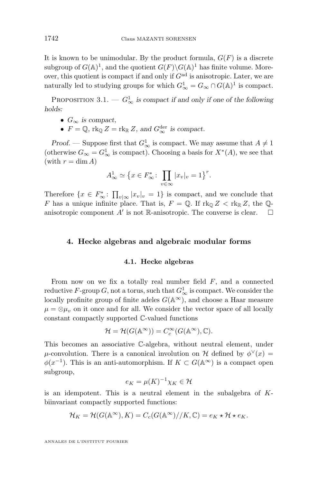It is known to be unimodular. By the product formula,  $G(F)$  is a discrete subgroup of  $G(\mathbb{A})^1$ , and the quotient  $G(F) \backslash G(\mathbb{A})^1$  has finite volume. Moreover, this quotient is compact if and only if  $G<sup>ad</sup>$  is anisotropic. Later, we are naturally led to studying groups for which  $G^1_{\infty} = G_{\infty} \cap G(\mathbb{A})^1$  is compact.

PROPOSITION 3.1. —  $G^1_{\infty}$  is compact if and only if one of the following *holds:*

- $G_{\infty}$  *is compact,*
- $F = \mathbb{Q}$ ,  $\text{rk}_{\mathbb{Q}} Z = \text{rk}_{\mathbb{R}} Z$ , and  $G_{\infty}^{\text{der}}$  is compact.

*Proof.* — Suppose first that  $G^1_{\infty}$  is compact. We may assume that  $A \neq 1$ (otherwise  $G_{\infty} = G_{\infty}^1$  is compact). Choosing a basis for  $X^*(A)$ , we see that (with  $r = \dim A$ )

$$
A_{\infty}^1 \simeq \left\{ x \in F_{\infty}^* \colon \prod_{v \in \infty} |x_v|_v = 1 \right\}^r.
$$

Therefore  $\{x \in F_{\infty}^*: \prod_{v|\infty} |x_v|_v = 1\}$  is compact, and we conclude that F has a unique infinite place. That is,  $F = \mathbb{Q}$ . If  $\text{rk}_{\mathbb{Q}} Z < \text{rk}_{\mathbb{R}} Z$ , the  $\mathbb{Q}$ anisotropic component  $A'$  is not R-anisotropic. The converse is clear.  $\Box$ 

#### **4. Hecke algebras and algebraic modular forms**

#### **4.1. Hecke algebras**

From now on we fix a totally real number field  $F$ , and a connected reductive  $F$ -group  $G$ , not a torus, such that  $G^1_{\infty}$  is compact. We consider the locally profinite group of finite adeles  $G(\mathbb{A}^{\infty})$ , and choose a Haar measure  $\mu = \otimes \mu_v$  on it once and for all. We consider the vector space of all locally constant compactly supported C-valued functions

$$
\mathcal{H} = \mathcal{H}(G(\mathbb{A}^{\infty})) = C_c^{\infty}(G(\mathbb{A}^{\infty}), \mathbb{C}).
$$

This becomes an associative C-algebra, without neutral element, under  $\mu$ -convolution. There is a canonical involution on H defined by  $\phi^{\vee}(x) =$  $\phi(x^{-1})$ . This is an anti-automorphism. If  $K \subset G(\mathbb{A}^{\infty})$  is a compact open subgroup,

$$
e_K = \mu(K)^{-1} \chi_K \in \mathcal{H}
$$

is an idempotent. This is a neutral element in the subalgebra of Kbiinvariant compactly supported functions:

$$
\mathcal{H}_K = \mathcal{H}(G(\mathbb{A}^{\infty}), K) = C_c(G(\mathbb{A}^{\infty}) // K, \mathbb{C}) = e_K \star \mathcal{H} \star e_K.
$$

ANNALES DE L'INSTITUT FOURIER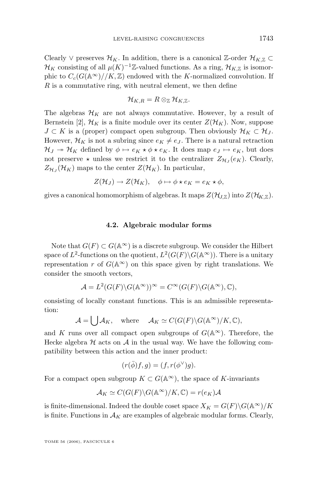Clearly ∨ preserves  $\mathcal{H}_K$ . In addition, there is a canonical Z-order  $\mathcal{H}_{K,\mathbb{Z}} \subset$  $\mathcal{H}_K$  consisting of all  $\mu(K)^{-1}\mathbb{Z}$ -valued functions. As a ring,  $\mathcal{H}_{K,\mathbb{Z}}$  is isomorphic to  $C_c(G(\mathbb{A}^{\infty})//K,\mathbb{Z})$  endowed with the K-normalized convolution. If  $R$  is a commutative ring, with neutral element, we then define

$$
\mathcal{H}_{K,R}=R\otimes_{\mathbb{Z}}\mathcal{H}_{K,\mathbb{Z}}.
$$

The algebras  $\mathcal{H}_K$  are not always commutative. However, by a result of Bernstein [\[2\]](#page-31-0),  $\mathcal{H}_K$  is a finite module over its center  $Z(\mathcal{H}_K)$ . Now, suppose  $J \subset K$  is a (proper) compact open subgroup. Then obviously  $\mathcal{H}_K \subset \mathcal{H}_J$ . However,  $\mathcal{H}_K$  is not a subring since  $e_K \neq e_J$ . There is a natural retraction  $\mathcal{H}_J \to \mathcal{H}_K$  defined by  $\phi \mapsto e_K \star \phi \star e_K$ . It does map  $e_J \mapsto e_K$ , but does not preserve  $\star$  unless we restrict it to the centralizer  $Z_{\mathcal{H}_J}(e_K)$ . Clearly,  $Z_{\mathcal{H}_J}(\mathcal{H}_K)$  maps to the center  $Z(\mathcal{H}_K)$ . In particular,

$$
Z(\mathcal{H}_J) \to Z(\mathcal{H}_K), \quad \phi \mapsto \phi \star e_K = e_K \star \phi,
$$

gives a canonical homomorphism of algebras. It maps  $Z(\mathcal{H}_{LZ})$  into  $Z(\mathcal{H}_{KZ})$ .

#### **4.2. Algebraic modular forms**

Note that  $G(F) \subset G(\mathbb{A}^{\infty})$  is a discrete subgroup. We consider the Hilbert space of  $L^2$ -functions on the quotient,  $L^2(G(F) \backslash G(\mathbb{A}^{\infty}))$ . There is a unitary representation r of  $G(\mathbb{A}^{\infty})$  on this space given by right translations. We consider the smooth vectors,

$$
\mathcal{A} = L^2(G(F) \backslash G(\mathbb{A}^{\infty}))^{\infty} = C^{\infty}(G(F) \backslash G(\mathbb{A}^{\infty}), \mathbb{C}),
$$

consisting of locally constant functions. This is an admissible representation:

$$
\mathcal{A} = \bigcup \mathcal{A}_K, \quad \text{where} \quad \mathcal{A}_K \simeq C(G(F) \backslash G(\mathbb{A}^\infty)/K, \mathbb{C}),
$$

and K runs over all compact open subgroups of  $G(\mathbb{A}^{\infty})$ . Therefore, the Hecke algebra  $H$  acts on  $A$  in the usual way. We have the following compatibility between this action and the inner product:

$$
(r(\bar{\phi})f, g) = (f, r(\phi^{\vee})g).
$$

For a compact open subgroup  $K \subset G(\mathbb{A}^{\infty})$ , the space of K-invariants

$$
\mathcal{A}_K \simeq C(G(F) \backslash G(\mathbb{A}^{\infty})/K, \mathbb{C}) = r(e_K)\mathcal{A}
$$

is finite-dimensional. Indeed the double coset space  $X_K = G(F) \backslash G(\mathbb{A}^{\infty})/K$ is finite. Functions in  $A_K$  are examples of algebraic modular forms. Clearly,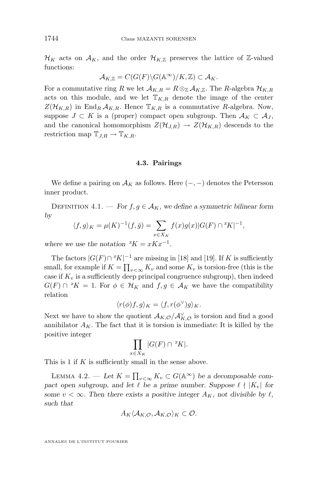<span id="page-10-0"></span> $\mathcal{H}_K$  acts on  $\mathcal{A}_K$ , and the order  $\mathcal{H}_{K,\mathbb{Z}}$  preserves the lattice of  $\mathbb{Z}$ -valued functions:

$$
\mathcal{A}_{K,\mathbb{Z}} = C(G(F) \backslash G(\mathbb{A}^{\infty})/K, \mathbb{Z}) \subset \mathcal{A}_K.
$$

For a commutative ring R we let  $\mathcal{A}_{K,R} = R \otimes_{\mathbb{Z}} \mathcal{A}_{K,\mathbb{Z}}$ . The R-algebra  $\mathcal{H}_{K,R}$ acts on this module, and we let  $T_{K,R}$  denote the image of the center  $Z(\mathcal{H}_{K,R})$  in End<sub>R</sub>  $\mathcal{A}_{K,R}$ . Hence  $\mathbb{T}_{K,R}$  is a commutative R-algebra. Now, suppose  $J \subset K$  is a (proper) compact open subgroup. Then  $\mathcal{A}_K \subset \mathcal{A}_J$ , and the canonical homomorphism  $Z(\mathcal{H}_{J,R}) \to Z(\mathcal{H}_{K,R})$  descends to the restriction map  $\mathbb{T}_{J,R} \to \mathbb{T}_{K,R}$ .

#### **4.3. Pairings**

We define a pairing on  $\mathcal{A}_K$  as follows. Here  $(-, -)$  denotes the Petersson inner product.

DEFINITION 4.1. — *For*  $f, g \in A_K$ , we define a symmetric bilinear form *by*

$$
\langle f, g \rangle_K = \mu(K)^{-1}(f, \bar{g}) = \sum_{x \in X_K} f(x)g(x)|G(F) \cap {}^xK|^{-1},
$$

where we use the notation  ${}^xK = xKx^{-1}$ *.* 

The factors  $|G(F) \cap {}^{x}K|^{-1}$  are missing in [\[18\]](#page-31-0) and [\[19\]](#page-31-0). If K is sufficiently small, for example if  $K = \prod_{v < \infty} K_v$  and some  $K_v$  is torsion-free (this is the case if  $K_v$  is a sufficiently deep principal congruence subgroup), then indeed  $G(F) \cap {}^{x}K = 1$ . For  $\phi \in \mathcal{H}_K$  and  $f, g \in \mathcal{A}_K$  we have the compatibility relation

$$
\langle r(\phi)f, g \rangle_K = \langle f, r(\phi^{\vee})g \rangle_K.
$$

Next we have to show the quotient  $\mathcal{A}_{K,\mathcal{O}}/\mathcal{A}_{K,\mathcal{O}}^{\vee}$  is torsion and find a good annihilator  $A_K$ . The fact that it is torsion is immediate: It is killed by the positive integer

$$
\prod_{x \in X_K} |G(F) \cap {}^xK|.
$$

This is 1 if K is sufficiently small in the sense above.

LEMMA 4.2. — Let  $K = \prod_{v < \infty} K_v \subset G(\mathbb{A}^{\infty})$  be a decomposable com*pact open subgroup, and let*  $\ell$  *be a prime number. Suppose*  $\ell \nmid |K_v|$  *for some*  $v < \infty$ *. Then there exists a positive integer*  $A_K$ *, not divisible by*  $\ell$ *, such that*

$$
A_K \langle A_{K,\mathcal{O}}, A_{K,\mathcal{O}} \rangle_K \subset \mathcal{O}.
$$

ANNALES DE L'INSTITUT FOURIER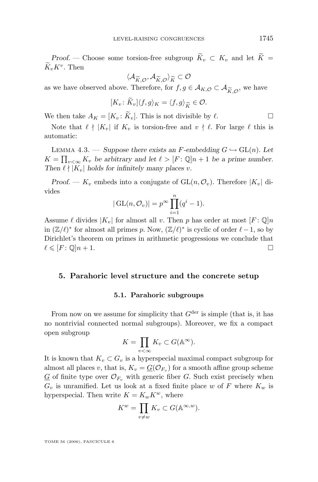*Proof.* — Choose some torsion-free subgroup  $\widetilde{K}_v \subset K_v$  and let  $\widetilde{K}$  =  $K_v K^v$ . Then

$$
\langle \mathcal{A}_{\widetilde{K},\mathcal{O}}, \mathcal{A}_{\widetilde{K},\mathcal{O}} \rangle_{\widetilde{K}} \subset \mathcal{O}
$$
  
Therefore, for  $f, g \in$ 

as we have observed above. Therefore, for  $f, g \in A_{K,\mathcal{O}} \subset A_{\widetilde{K},\mathcal{O}}$ , we have

$$
[K_v: \widetilde{K}_v] \langle f, g \rangle_K = \langle f, g \rangle_{\widetilde{K}} \in \mathcal{O}.
$$

We then take  $A_K = [K_v : \widetilde{K}_v]$ . This is not divisible by  $\ell$ .

Note that  $\ell \nmid |K_v|$  if  $K_v$  is torsion-free and  $v \nmid \ell$ . For large  $\ell$  this is automatic:

LEMMA 4.3. — *Suppose there exists an F-embedding*  $G \hookrightarrow GL(n)$ *. Let*  $K = \prod_{v < \infty} K_v$  be arbitrary and let  $\ell > [F : \mathbb{Q}]n + 1$  be a prime number. *Then*  $\ell \nmid |K_v|$  *holds for infinitely many places v.* 

*Proof.* —  $K_v$  embeds into a conjugate of  $GL(n, \mathcal{O}_v)$ . Therefore  $|K_v|$  divides

$$
|\operatorname{GL}(n, \mathcal{O}_v)| = p^{\infty} \prod_{i=1}^n (q^i - 1).
$$

Assume  $\ell$  divides  $|K_v|$  for almost all v. Then p has order at most  $[F: \mathbb{Q}]n$ in  $(\mathbb{Z}/\ell)^*$  for almost all primes p. Now,  $(\mathbb{Z}/\ell)^*$  is cyclic of order  $\ell-1$ , so by Dirichlet's theorem on primes in arithmetic progressions we conclude that  $\ell \leqslant [F : \mathbb{Q}]n + 1.$ 

#### **5. Parahoric level structure and the concrete setup**

#### **5.1. Parahoric subgroups**

From now on we assume for simplicity that  $G^{\text{der}}$  is simple (that is, it has no nontrivial connected normal subgroups). Moreover, we fix a compact open subgroup

$$
K = \prod_{v < \infty} K_v \subset G(\mathbb{A}^{\infty}).
$$

It is known that  $K_v \subset G_v$  is a hyperspecial maximal compact subgroup for almost all places v, that is,  $K_v = \underline{G}(\mathcal{O}_{F_v})$  for a smooth affine group scheme  $G$  of finite type over  $\mathcal{O}_{F_v}$  with generic fiber G. Such exist precisely when  $G_v$  is unramified. Let us look at a fixed finite place w of F where  $K_w$  is hyperspecial. Then write  $K = K_w K^w$ , where

$$
K^w = \prod_{v \neq w} K_v \subset G(\mathbb{A}^{\infty, w}).
$$

TOME 56 (2006), FASCICULE 6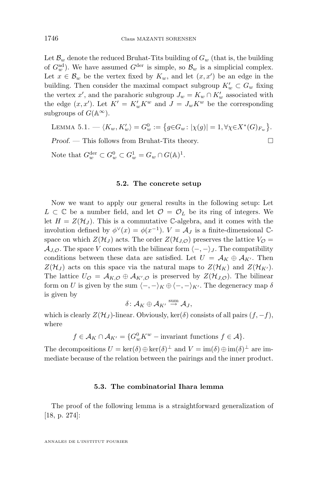<span id="page-12-0"></span>Let  $\mathcal{B}_w$  denote the reduced Bruhat-Tits building of  $G_w$  (that is, the building of  $G_w^{\text{ad}}$ ). We have assumed  $G^{\text{der}}$  is simple, so  $\mathcal{B}_w$  is a simplicial complex. Let  $x \in \mathcal{B}_w$  be the vertex fixed by  $K_w$ , and let  $(x, x')$  be an edge in the building. Then consider the maximal compact subgroup  $K'_w \subset G_w$  fixing the vertex  $x'$ , and the parahoric subgroup  $J_w = K_w \cap K'_w$  associated with the edge  $(x, x')$ . Let  $K' = K_w' K^w$  and  $J = J_w K^w$  be the corresponding subgroups of  $G(\mathbb{A}^{\infty})$ .

LEMMA 5.1.  $-\langle K_w, K'_w\rangle = G_w^0 := \big\{g{\in}G_w\colon |\chi(g)| = 1, \forall \chi{\in}X^*(G)_{F_w}\big\}.$ *Proof.* — This follows from Bruhat-Tits theory. □ Note that  $G_w^{\text{der}} \subset G_w^0 \subset G_w^1 = G_w \cap G(\mathbb{A})^1$ .

#### **5.2. The concrete setup**

Now we want to apply our general results in the following setup: Let  $L \subset \mathbb{C}$  be a number field, and let  $\mathcal{O} = \mathcal{O}_L$  be its ring of integers. We let  $H = Z(\mathcal{H}_J)$ . This is a commutative C-algebra, and it comes with the involution defined by  $\phi^{\vee}(x) = \phi(x^{-1})$ .  $V = \mathcal{A}_J$  is a finite-dimensional  $\mathbb{C}$ space on which  $Z(\mathcal{H}_J)$  acts. The order  $Z(\mathcal{H}_{J,\mathcal{O}})$  preserves the lattice  $V_{\mathcal{O}} =$  $\mathcal{A}_{J,\mathcal{O}}$ . The space V comes with the bilinear form  $\langle -, - \rangle_J$ . The compatibility conditions between these data are satisfied. Let  $U = A_K \oplus A_{K'}$ . Then  $Z(\mathcal{H}_I)$  acts on this space via the natural maps to  $Z(\mathcal{H}_K)$  and  $Z(\mathcal{H}_{K'})$ . The lattice  $U_{\mathcal{O}} = \mathcal{A}_{K,\mathcal{O}} \oplus \mathcal{A}_{K',\mathcal{O}}$  is preserved by  $Z(\mathcal{H}_{J,\mathcal{O}})$ . The bilinear form on U is given by the sum  $\langle -, -\rangle_K \oplus \langle -, -\rangle_{K'}$ . The degeneracy map  $\delta$ is given by

$$
\delta\colon {\mathcal A}_K\oplus {\mathcal A}_{K'} \stackrel{{\rm sum}}{\to} {\mathcal A}_J,
$$

which is clearly  $Z(\mathcal{H}_J)$ -linear. Obviously, ker( $\delta$ ) consists of all pairs  $(f, -f)$ , where

$$
f \in \mathcal{A}_K \cap \mathcal{A}_{K'} = \{G_w^0 K^w - \text{invariant functions } f \in \mathcal{A}\}.
$$

The decompositions  $U = \ker(\delta) \oplus \ker(\delta)^{\perp}$  and  $V = \text{im}(\delta) \oplus \text{im}(\delta)^{\perp}$  are immediate because of the relation between the pairings and the inner product.

#### **5.3. The combinatorial Ihara lemma**

The proof of the following lemma is a straightforward generalization of [\[18,](#page-31-0) p. 274]: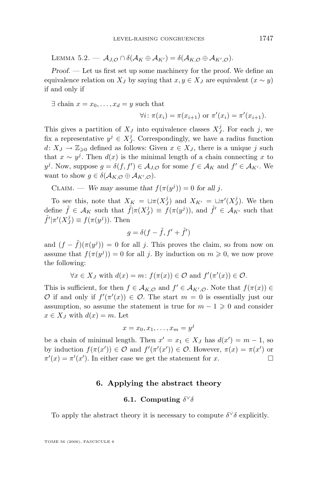<span id="page-13-0"></span>Lemma 5.2. —  $A_{J,\mathcal{O}} \cap \delta(A_K \oplus A_{K'}) = \delta(A_{K,\mathcal{O}} \oplus A_{K',\mathcal{O}}).$ 

*Proof. —* Let us first set up some machinery for the proof. We define an equivalence relation on  $X_J$  by saying that  $x, y \in X_J$  are equivalent  $(x \sim y)$ if and only if

 $\exists$  chain  $x = x_0, \ldots, x_d = y$  such that

$$
\forall i: \pi(x_i) = \pi(x_{i+1}) \text{ or } \pi'(x_i) = \pi'(x_{i+1}).
$$

This gives a partition of  $X_j$  into equivalence classes  $X_j^j$ . For each j, we fix a representative  $y^j \in X_J^j$ . Correspondingly, we have a radius function  $d: X_J \to \mathbb{Z}_{\geqslant 0}$  defined as follows: Given  $x \in X_J$ , there is a unique j such that  $x \sim y^j$ . Then  $d(x)$  is the minimal length of a chain connecting x to  $y^j$ . Now, suppose  $g = \delta(f, f') \in \mathcal{A}_{J,\mathcal{O}}$  for some  $f \in \mathcal{A}_K$  and  $f' \in \mathcal{A}_{K'}$ . We want to show  $g \in \delta(\mathcal{A}_{K,\mathcal{O}} \oplus \mathcal{A}_{K',\mathcal{O}}).$ 

CLAIM. — We may assume that  $f(\pi(y^j)) = 0$  for all j.

To see this, note that  $X_K = \sqcup \pi(X_J^j)$  and  $X_{K'} = \sqcup \pi'(X_J^j)$ . We then define  $\tilde{f} \in \mathcal{A}_K$  such that  $\tilde{f} | \pi(X^j) \equiv f(\pi(y^j))$ , and  $\tilde{f}' \in \mathcal{A}_{K'}$  such that  $\tilde{f}'|\pi'(X_J^j) \equiv f(\pi(y^j)).$  Then

$$
g = \delta(f - \tilde{f}, f' + \tilde{f}')
$$

and  $(f - \tilde{f})(\pi(y^{j})) = 0$  for all j. This proves the claim, so from now on assume that  $f(\pi(y^j)) = 0$  for all j. By induction on  $m \geq 0$ , we now prove the following:

 $\forall x \in X_J$  with  $d(x) = m$ :  $f(\pi(x)) \in \mathcal{O}$  and  $f'(\pi'(x)) \in \mathcal{O}$ .

This is sufficient, for then  $f \in A_{K,\mathcal{O}}$  and  $f' \in A_{K',\mathcal{O}}$ . Note that  $f(\pi(x)) \in$ O if and only if  $f'(\pi'(x)) \in \mathcal{O}$ . The start  $m = 0$  is essentially just our assumption, so assume the statement is true for  $m - 1 \geq 0$  and consider  $x \in X_J$  with  $d(x) = m$ . Let

$$
x = x_0, x_1, \dots, x_m = y^j
$$

be a chain of minimal length. Then  $x' = x_1 \in X_J$  has  $d(x') = m - 1$ , so by induction  $f(\pi(x')) \in \mathcal{O}$  and  $f'(\pi'(x')) \in \mathcal{O}$ . However,  $\pi(x) = \pi(x')$  or  $\pi'(x) = \pi'(x')$ . In either case we get the statement for x.

#### **6. Applying the abstract theory**

#### **6.1.** Computing  $\delta^{\vee}\delta$

To apply the abstract theory it is necessary to compute  $\delta^{\vee}\delta$  explicitly.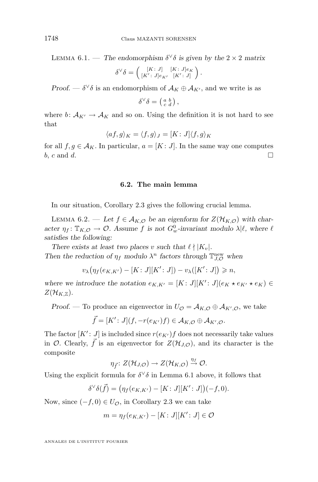<span id="page-14-0"></span>LEMMA 6.1. — *The endomorphism*  $\delta^{\vee}\delta$  *is given by the*  $2 \times 2$  *matrix* 

$$
\delta^\vee\delta=\left(\begin{smallmatrix} [K\colon J]\\ [K'\colon J]e_{K'} & [K'\colon J]\end{smallmatrix}\right).
$$

*Proof.* —  $\delta^{\vee}\delta$  is an endomorphism of  $\mathcal{A}_K \oplus \mathcal{A}_{K'}$ , and we write is as

$$
\delta^\vee \delta = \left(\begin{smallmatrix} a & b \\ c & d \end{smallmatrix}\right),
$$

where b:  $A_{K'} \rightarrow A_K$  and so on. Using the definition it is not hard to see that

$$
\langle af,g\rangle_K = \langle f,g\rangle_J = [K\colon J]\langle f,g\rangle_K
$$

for all  $f, g \in A_K$ . In particular,  $a = [K : J]$ . In the same way one computes b, c and d.

**6.2. The main lemma**

In our situation, Corollary [2.3](#page-7-0) gives the following crucial lemma.

LEMMA 6.2. — Let  $f \in A_{K,\mathcal{O}}$  be an eigenform for  $Z(\mathcal{H}_{K,\mathcal{O}})$  with char- $\alpha$  *acter*  $\eta_f: \mathbb{T}_{K,\mathcal{O}} \to \mathcal{O}$ . Assume f is not  $G_w^0$ -invariant modulo  $\lambda | \ell$ , where  $\ell$ *satisfies the following:*

*There exists at least two places* v *such that*  $\ell \nmid K_v$ . *Then the reduction of*  $\eta_f$  *modulo*  $\lambda^n$  *factors through*  $\mathbb{T}_{J,O}^{\text{new}}$  *when* 

$$
v_{\lambda}(\eta_f(e_{K,K'}) - [K:J][K':J]) - v_{\lambda}([K':J]) \geq n,
$$

where we introduce the notation  $e_{K,K'} = [K : J][K' : J](e_K \star e_{K'} \star e_K) \in$  $Z(\mathcal{H}_{K,\mathbb{Z}})$ .

*Proof.* — To produce an eigenvector in  $U_{\mathcal{O}} = \mathcal{A}_{K,\mathcal{O}} \oplus \mathcal{A}_{K',\mathcal{O}}$ , we take

$$
\vec{f} = [K': J](f, -r(e_{K'})f) \in \mathcal{A}_{K,\mathcal{O}} \oplus \mathcal{A}_{K',\mathcal{O}}.
$$

The factor  $[K' : J]$  is included since  $r(e_{K'}) f$  does not necessarily take values in  $\mathcal{O}$ . Clearly,  $\bar{f}$  is an eigenvector for  $Z(\mathcal{H}_{J,\mathcal{O}})$ , and its character is the composite

$$
\eta_{\vec{f}}\colon Z(\mathcal{H}_{J,\mathcal{O}})\to Z(\mathcal{H}_{K,\mathcal{O}})\stackrel{\eta_{f}}{\to}\mathcal{O}.
$$

Using the explicit formula for  $\delta^{\vee}\delta$  in Lemma [6.1](#page-13-0) above, it follows that

$$
\delta^{\vee}\delta(\vec{f}) = (\eta_f(e_{K,K'}) - [K:J][K':J])(-f,0).
$$

Now, since  $(-f, 0) \in U_{\mathcal{O}}$ , in Corollary [2.3](#page-7-0) we can take

$$
m = \eta_f(e_{K,K'}) - [K:J][K':J] \in \mathcal{O}
$$

ANNALES DE L'INSTITUT FOURIER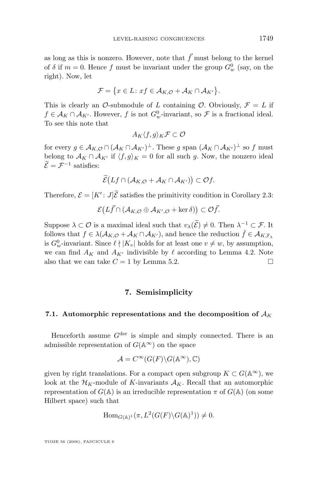as long as this is nonzero. However, note that  $\vec{f}$  must belong to the kernel of  $\delta$  if  $m = 0$ . Hence  $f$  must be invariant under the group  $G_w^0$  (say, on the right). Now, let

$$
\mathcal{F} = \{x \in L : xf \in \mathcal{A}_{K,\mathcal{O}} + \mathcal{A}_{K} \cap \mathcal{A}_{K'}\}.
$$

This is clearly an O-submodule of L containing O. Obviously,  $\mathcal{F} = L$  if  $f \in \mathcal{A}_K \cap \mathcal{A}_{K'}$ . However, f is not  $G_w^0$ -invariant, so  $\mathcal{F}$  is a fractional ideal. To see this note that

$$
A_K\langle f,g\rangle_K\mathcal{F}\subset\mathcal{O}
$$

for every  $g \in A_{K,\mathcal{O}} \cap (A_K \cap A_{K'})^{\perp}$ . These g span  $(A_K \cap A_{K'})^{\perp}$  so f must belong to  $\mathcal{A}_K \cap \mathcal{A}_{K'}$  if  $\langle f, g \rangle_K = 0$  for all such g. Now, the nonzero ideal  $\mathcal{E} = \mathcal{F}^{-1}$  satisfies:

$$
\widetilde{\mathcal{E}}\big(Lf\cap(\mathcal{A}_{K,\mathcal{O}}+\mathcal{A}_{K}\cap\mathcal{A}_{K'})\big)\subset\mathcal{O}f.
$$

Therefore,  $\mathcal{E} = [K': J]\tilde{\mathcal{E}}$  satisfies the primitivity condition in Corollary [2.3:](#page-7-0)

 $\mathcal{E}\big(L\vec{f}\cap (\mathcal{A}_{K,\mathcal{O}}\oplus \mathcal{A}_{K',\mathcal{O}}+\ker\delta)\big)\subset \mathcal{O}\vec{f}.$ 

Suppose  $\lambda \subset \mathcal{O}$  is a maximal ideal such that  $v_{\lambda}(\mathcal{E}) \neq 0$ . Then  $\lambda^{-1} \subset \mathcal{F}$ . It follows that  $f \in \lambda(\mathcal{A}_{K,\mathcal{O}} + \mathcal{A}_{K} \cap \mathcal{A}_{K'})$ , and hence the reduction  $\bar{f} \in \mathcal{A}_{K,\mathbb{F}}$ , is  $G_w^0$ -invariant. Since  $\ell \nmid |K_v|$  holds for at least one  $v \neq w$ , by assumption, we can find  $A_K$  and  $A_{K'}$  indivisible by  $\ell$  according to Lemma [4.2.](#page-10-0) Note also that we can take  $C = 1$  by Lemma [5.2.](#page-12-0)

#### **7. Semisimplicity**

#### **7.1.** Automorphic representations and the decomposition of  $A_K$

Henceforth assume  $G^{\text{der}}$  is simple and simply connected. There is an admissible representation of  $G(\mathbb{A}^{\infty})$  on the space

$$
\mathcal{A} = C^{\infty}(G(F) \backslash G(\mathbb{A}^{\infty}), \mathbb{C})
$$

given by right translations. For a compact open subgroup  $K \subset G(\mathbb{A}^{\infty})$ , we look at the  $\mathcal{H}_K$ -module of K-invariants  $\mathcal{A}_K$ . Recall that an automorphic representation of  $G(\mathbb{A})$  is an irreducible representation  $\pi$  of  $G(\mathbb{A})$  (on some Hilbert space) such that

$$
\operatorname{Hom}_{G(\mathbb{A})^1}(\pi, L^2(G(F)\backslash G(\mathbb{A})^1)) \neq 0.
$$

TOME 56 (2006), FASCICULE 6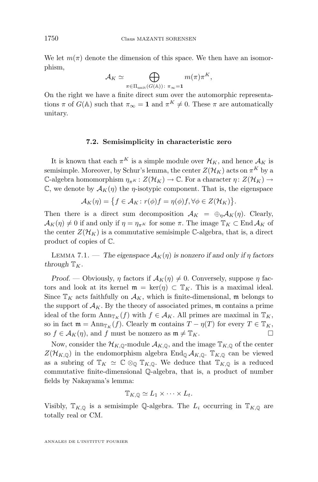<span id="page-16-0"></span>We let  $m(\pi)$  denote the dimension of this space. We then have an isomorphism,

$$
\mathcal{A}_K \simeq \bigoplus_{\pi \in \Pi_{\text{unit}}(G(\mathbb{A})):\ \pi_\infty = \mathbf{1}} m(\pi) \pi^K,
$$

On the right we have a finite direct sum over the automorphic representations  $\pi$  of  $G(\mathbb{A})$  such that  $\pi_{\infty} = 1$  and  $\pi^{K} \neq 0$ . These  $\pi$  are automatically unitary.

#### **7.2. Semisimplicity in characteristic zero**

It is known that each  $\pi^K$  is a simple module over  $\mathcal{H}_K$ , and hence  $\mathcal{A}_K$  is semisimple. Moreover, by Schur's lemma, the center  $Z(\mathcal{H}_K)$  acts on  $\pi^K$  by a C-algebra homomorphism  $\eta_{\pi K} : Z(\mathcal{H}_K) \to \mathbb{C}$ . For a character  $\eta: Z(\mathcal{H}_K) \to$  $\mathbb{C}$ , we denote by  $\mathcal{A}_K(\eta)$  the *η*-isotypic component. That is, the eigenspace

$$
\mathcal{A}_K(\eta) = \big\{ f \in \mathcal{A}_K \colon r(\phi)f = \eta(\phi)f, \forall \phi \in Z(\mathcal{H}_K) \big\}.
$$

Then there is a direct sum decomposition  $A_K = \bigoplus_{\eta} A_K(\eta)$ . Clearly,  $\mathcal{A}_K(\eta) \neq 0$  if and only if  $\eta = \eta_{\pi^K}$  for some  $\pi$ . The image  $\mathbb{T}_K \subset \text{End } \mathcal{A}_K$  of the center  $Z(\mathcal{H}_K)$  is a commutative semisimple C-algebra, that is, a direct product of copies of C.

LEMMA 7.1. — *The eigenspace*  $\mathcal{A}_K(\eta)$  *is nonzero if and only if*  $\eta$  *factors through*  $\mathbb{T}_K$ .

*Proof.* — Obviously,  $\eta$  factors if  $\mathcal{A}_K(\eta) \neq 0$ . Conversely, suppose  $\eta$  factors and look at its kernel  $\mathfrak{m} = \text{ker}(\eta) \subset \mathbb{T}_K$ . This is a maximal ideal. Since  $\mathbb{T}_K$  acts faithfully on  $\mathcal{A}_K$ , which is finite-dimensional, m belongs to the support of  $A_K$ . By the theory of associated primes, m contains a prime ideal of the form  $\text{Ann}_{\mathbb{T}_K}(f)$  with  $f \in \mathcal{A}_K$ . All primes are maximal in  $\mathbb{T}_K$ , so in fact  $\mathfrak{m} = \text{Ann}_{\mathbb{T}_K}(f)$ . Clearly  $\mathfrak{m}$  contains  $T - \eta(T)$  for every  $T \in \mathbb{T}_K$ , so  $f \in \mathcal{A}_K(\eta)$ , and f must be nonzero as  $\mathfrak{m} \neq \mathbb{T}_K$ .

Now, consider the  $\mathcal{H}_{K,\mathbb{Q}}$ -module  $\mathcal{A}_{K,\mathbb{Q}}$ , and the image  $\mathbb{T}_{K,\mathbb{Q}}$  of the center  $Z(\mathcal{H}_{K,\mathbb{Q}})$  in the endomorphism algebra End<sub>Q</sub>  $\mathcal{A}_{K,\mathbb{Q}}$ .  $\mathbb{T}_{K,\mathbb{Q}}$  can be viewed as a subring of  $\mathbb{T}_K \simeq \mathbb{C} \otimes_{\mathbb{Q}} \mathbb{T}_{K,\mathbb{Q}}$ . We deduce that  $\mathbb{T}_{K,\mathbb{Q}}$  is a reduced commutative finite-dimensional Q-algebra, that is, a product of number fields by Nakayama's lemma:

$$
\mathbb{T}_{K,\mathbb{Q}} \simeq L_1 \times \cdots \times L_t.
$$

Visibly,  $\mathbb{T}_{K,\mathbb{Q}}$  is a semisimple Q-algebra. The  $L_i$  occurring in  $\mathbb{T}_{K,\mathbb{Q}}$  are totally real or CM.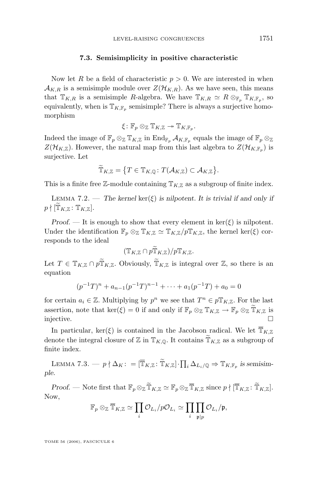#### **7.3. Semisimplicity in positive characteristic**

Now let R be a field of characteristic  $p > 0$ . We are interested in when  $\mathcal{A}_{K,R}$  is a semisimple module over  $Z(\mathcal{H}_{K,R})$ . As we have seen, this means that  $\mathbb{T}_{K,R}$  is a semisimple R-algebra. We have  $\mathbb{T}_{K,R} \simeq R \otimes_{\mathbb{F}_p} \mathbb{T}_{K,\mathbb{F}_p}$ , so equivalently, when is  $\mathbb{T}_{K,\mathbb{F}_p}$  semisimple? There is always a surjective homomorphism

$$
\xi\colon \mathbb{F}_p\otimes_\mathbb{Z} \mathbb{T}_{K,\mathbb{Z}} \twoheadrightarrow \mathbb{T}_{K,\mathbb{F}_p}.
$$

Indeed the image of  $\mathbb{F}_p \otimes_{\mathbb{Z}} \mathbb{T}_{K,\mathbb{Z}}$  in  $\text{End}_{\mathbb{F}_p} \mathcal{A}_{K,\mathbb{F}_p}$  equals the image of  $\mathbb{F}_p \otimes_{\mathbb{Z}}$  $Z(\mathcal{H}_{K,\mathbb{Z}})$ . However, the natural map from this last algebra to  $Z(\mathcal{H}_{K,\mathbb{F}_p})$  is surjective. Let

$$
\widetilde{\mathbb{T}}_{K,\mathbb{Z}}=\big\{T\in \mathbb{T}_{K,\mathbb{Q}}\colon T(\mathcal{A}_{K,\mathbb{Z}})\subset \mathcal{A}_{K,\mathbb{Z}}\big\}.
$$

This is a finite free Z-module containing  $\mathbb{T}_{K,\mathbb{Z}}$  as a subgroup of finite index.

LEMMA 7.2. — The kernel  $\ker(\xi)$  is nilpotent. It is trivial if and only if  $p \nmid [\mathbb{T}_{K,\mathbb{Z}} \colon \mathbb{T}_{K,\mathbb{Z}}].$ 

*Proof.* — It is enough to show that every element in  $\ker(\xi)$  is nilpotent. Under the identification  $\mathbb{F}_p \otimes_{\mathbb{Z}} \mathbb{T}_{K,\mathbb{Z}} \simeq \mathbb{T}_{K,\mathbb{Z}}/p\mathbb{T}_{K,\mathbb{Z}}$ , the kernel ker( $\xi$ ) corresponds to the ideal

$$
(\mathbb{T}_{K,\mathbb{Z}}\cap p\widetilde{\mathbb{T}}_{K,\mathbb{Z}})/p\mathbb{T}_{K,\mathbb{Z}}.
$$

Let  $T \in \mathbb{T}_{K,\mathbb{Z}} \cap p\widetilde{\mathbb{T}}_{K,\mathbb{Z}}$ . Obviously,  $\widetilde{\mathbb{T}}_{K,\mathbb{Z}}$  is integral over  $\mathbb{Z}$ , so there is an equation

$$
(p^{-1}T)^n + a_{n-1}(p^{-1}T)^{n-1} + \dots + a_1(p^{-1}T) + a_0 = 0
$$

for certain  $a_i \in \mathbb{Z}$ . Multiplying by  $p^n$  we see that  $T^n \in p\mathbb{T}_{K,\mathbb{Z}}$ . For the last assertion, note that ker( $\xi$ ) = 0 if and only if  $\mathbb{F}_p \otimes_{\mathbb{Z}} \mathbb{T}_{K,\mathbb{Z}} \to \mathbb{F}_p \otimes_{\mathbb{Z}} \mathbb{T}_{K,\mathbb{Z}}$  is injective. injective.

In particular, ker( $\xi$ ) is contained in the Jacobson radical. We let  $\overline{T}_{K,\mathbb{Z}}$ denote the integral closure of  $\mathbb Z$  in  $\mathbb T_{K,\mathbb Q}$ . It contains  $\widetilde{\mathbb T}_{K,\mathbb Z}$  as a subgroup of finite index.

LEMMA 7.3. —  $p \nmid \Delta_K: = [\overline{T}_{K,\mathbb{Z}}: \widetilde{T}_{K,\mathbb{Z}}] \cdot \prod_i \Delta_{L_i/\mathbb{Q}} \Rightarrow \mathbb{T}_{K,\mathbb{F}_p}$  is semisim*ple.*

*Proof.* — Note first that  $\mathbb{F}_p \otimes_{\mathbb{Z}} \mathbb{T}_{K,\mathbb{Z}} \simeq \mathbb{F}_p \otimes_{\mathbb{Z}} \mathbb{T}_{K,\mathbb{Z}}$  since  $p \nmid [\mathbb{T}_{K,\mathbb{Z}} \colon \mathbb{T}_{K,\mathbb{Z}}]$ . Now,

$$
\mathbb{F}_p\otimes_\mathbb{Z} \overline{\mathbb{T}}_{K,\mathbb{Z}}\simeq \prod_i \mathcal{O}_{L_i}/p\mathcal{O}_{L_i}\simeq \prod_i \prod_{\mathfrak{p}\mid p} \mathcal{O}_{L_i}/\mathfrak{p},
$$

TOME 56 (2006), FASCICULE 6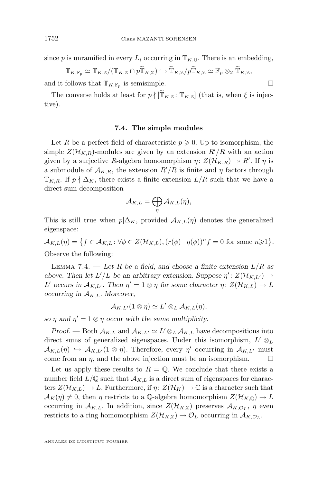since p is unramified in every  $L_i$  occurring in  $\mathbb{T}_{K,\mathbb{Q}}$ . There is an embedding,

$$
\mathbb{T}_{K,\mathbb{F}_p}\simeq \mathbb{T}_{K,\mathbb{Z}}/(\mathbb{T}_{K,\mathbb{Z}}\cap p\widetilde{\mathbb{T}}_{K,\mathbb{Z}})\hookrightarrow \widetilde{\mathbb{T}}_{K,\mathbb{Z}}/p\widetilde{\mathbb{T}}_{K,\mathbb{Z}}\simeq \mathbb{F}_p\otimes_{\mathbb{Z}}\widetilde{\mathbb{T}}_{K,\mathbb{Z}},
$$

and it follows that  $\mathbb{T}_{K,\mathbb{F}_p}$  is semisimple.

The converse holds at least for  $p \nmid [\widetilde{T}_{K,\mathbb{Z}}: T_{K,\mathbb{Z}}]$  (that is, when  $\xi$  is injective).

#### **7.4. The simple modules**

Let R be a perfect field of characteristic  $p \geqslant 0$ . Up to isomorphism, the simple  $Z(\mathcal{H}_{K,R})$ -modules are given by an extension  $R'/R$  with an action given by a surjective R-algebra homomorphism  $\eta: Z(\mathcal{H}_{K,R}) \to R'$ . If  $\eta$  is a submodule of  $\mathcal{A}_{K,R}$ , the extension  $R'/R$  is finite and  $\eta$  factors through  $\mathbb{T}_{K,R}$ . If  $p \nmid \Delta_K$ , there exists a finite extension  $L/R$  such that we have a direct sum decomposition

$$
\mathcal{A}_{K,L}=\bigoplus_{\eta}\mathcal{A}_{K,L}(\eta),
$$

This is still true when  $p|\Delta_K$ , provided  $\mathcal{A}_{K,L}(\eta)$  denotes the generalized eigenspace:

 $\mathcal{A}_{K,L}(\eta) = \left\{ f \in \mathcal{A}_{K,L} \colon \forall \phi \in Z(\mathcal{H}_{K,L}), (r(\phi) - \eta(\phi))^n f = 0 \text{ for some } n \geq 1 \right\}.$ Observe the following:

LEMMA 7.4. — Let R be a field, and choose a finite extension  $L/R$  as *above.* Then let  $L'/L$  be an arbitrary extension. Suppose  $\eta' : Z(\mathcal{H}_{K,L'}) \rightarrow$ L' occurs in  $\mathcal{A}_{K,L'}$ . Then  $\eta' = 1 \otimes \eta$  for some character  $\eta: Z(\mathcal{H}_{K,L}) \to L$ *occurring in*  $A_{K,L}$ *. Moreover,* 

$$
\mathcal{A}_{K,L'}(1\otimes\eta)\simeq L'\otimes_L\mathcal{A}_{K,L}(\eta),
$$

*so*  $\eta$  and  $\eta' = 1 \otimes \eta$  *occur with the same multiplicity.* 

*Proof.* — Both  $\mathcal{A}_{K,L}$  and  $\mathcal{A}_{K,L'} \simeq L' \otimes_L \mathcal{A}_{K,L}$  have decompositions into direct sums of generalized eigenspaces. Under this isomorphism,  $L' \otimes_L$  $\mathcal{A}_{K,L}(\eta) \hookrightarrow \mathcal{A}_{K,L'}(1 \otimes \eta)$ . Therefore, every  $\eta'$  occurring in  $\mathcal{A}_{K,L'}$  must come from an  $\eta$ , and the above injection must be an isomorphism.  $\Box$ 

Let us apply these results to  $R = \mathbb{Q}$ . We conclude that there exists a number field  $L/\mathbb{Q}$  such that  $\mathcal{A}_{K,L}$  is a direct sum of eigenspaces for characters  $Z(\mathcal{H}_{K,L}) \to L$ . Furthermore, if  $\eta: Z(\mathcal{H}_K) \to \mathbb{C}$  is a character such that  $\mathcal{A}_K(\eta) \neq 0$ , then  $\eta$  restricts to a Q-algebra homomorphism  $Z(\mathcal{H}_{K,\mathbb{Q}}) \to L$ occurring in  $A_{K,L}$ . In addition, since  $Z(\mathcal{H}_{K,\mathbb{Z}})$  preserves  $A_{K,\mathcal{O}_L}$ ,  $\eta$  even restricts to a ring homomorphism  $Z(\mathcal{H}_{K,\mathbb{Z}}) \to \mathcal{O}_L$  occurring in  $\mathcal{A}_{K,\mathcal{O}_L}$ .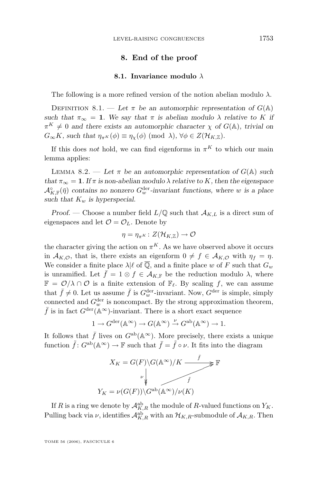#### **8. End of the proof**

#### **8.1. Invariance modulo** λ

The following is a more refined version of the notion abelian modulo  $\lambda$ .

DEFINITION 8.1. — Let  $\pi$  be an automorphic representation of  $G(\mathbb{A})$ *such that*  $\pi_{\infty} = 1$ *. We say that*  $\pi$  *is abelian modulo*  $\lambda$  *relative to* K *if*  $\pi^{K} \neq 0$  and there exists an automorphic character  $\chi$  of  $G(\mathbb{A})$ , trivial on  $G_{\infty}K$ *, such that*  $\eta_{\pi^K}(\phi) \equiv \eta_{\chi}(\phi) \pmod{\lambda}$ ,  $\forall \phi \in Z(\mathcal{H}_{K,\mathbb{Z}})$ .

If this does *not* hold, we can find eigenforms in  $\pi^{K}$  to which our main lemma applies:

LEMMA 8.2. — Let  $\pi$  be an automorphic representation of  $G(\mathbb{A})$  such *that*  $\pi_{\infty} = 1$ *. If*  $\pi$  *is non-abelian modulo*  $\lambda$  *relative to* K, then the eigenspace  $\mathcal{A}_{K,\mathbb{F}}^{\circ}(\bar{\eta})$  contains no nonzero  $G_w^{\text{der}}$ -invariant functions, where w is a place *such that*  $K_w$  *is hyperspecial.* 

*Proof.* — Choose a number field  $L/\mathbb{Q}$  such that  $\mathcal{A}_{K,L}$  is a direct sum of eigenspaces and let  $\mathcal{O} = \mathcal{O}_L$ . Denote by

$$
\eta=\eta_{\pi^K}\colon Z(\mathcal{H}_{K,\mathbb{Z}})\to\mathcal{O}
$$

the character giving the action on  $\pi^K$ . As we have observed above it occurs in  $\mathcal{A}_{K,\mathcal{O}}$ , that is, there exists an eigenform  $0 \neq f \in \mathcal{A}_{K,\mathcal{O}}$  with  $\eta_f = \eta$ . We consider a finite place  $\lambda|\ell$  of  $\overline{\mathbb{Q}}$ , and a finite place w of F such that  $G_w$ is unramified. Let  $\bar{f} = 1 \otimes f \in \mathcal{A}_{K,\mathbb{F}}$  be the reduction modulo  $\lambda$ , where  $\mathbb{F} = \mathcal{O}/\lambda \cap \mathcal{O}$  is a finite extension of  $\mathbb{F}_{\ell}$ . By scaling f, we can assume that  $\bar{f} \neq 0$ . Let us assume  $\bar{f}$  is  $G_w^{\text{der}}$ -invariant. Now,  $G^{\text{der}}$  is simple, simply connected and  $G_w^{\text{der}}$  is noncompact. By the strong approximation theorem,  $\bar{f}$  is in fact  $G^{\text{der}}(\mathbb{A}^{\infty})$ -invariant. There is a short exact sequence

$$
1 \to G^{\operatorname{der}}(\mathbb{A}^{\infty}) \to G(\mathbb{A}^{\infty}) \xrightarrow{\nu} G^{\operatorname{ab}}(\mathbb{A}^{\infty}) \to 1.
$$

It follows that  $\bar{f}$  lives on  $G^{ab}(\mathbb{A}^{\infty})$ . More precisely, there exists a unique function  $\tilde{f}$ :  $G^{ab}(\mathbb{A}^{\infty}) \to \mathbb{F}$  such that  $\bar{f} = \tilde{f} \circ \nu$ . It fits into the diagram

$$
X_K = G(F) \setminus G(\mathbb{A}^{\infty})/K \xrightarrow{\bar{f}} \mathbb{F}
$$
  

$$
Y_K = \nu(G(F)) \setminus G^{\text{ab}}(\mathbb{A}^{\infty})/\nu(K)
$$

If R is a ring we denote by  $\mathcal{A}_{K,R}^{\text{ab}}$  the module of R-valued functions on  $Y_K$ . Pulling back via  $\nu$ , identifies  $\mathcal{A}_{K,R}^{ab}$  with an  $\mathcal{H}_{K,R}$ -submodule of  $\mathcal{A}_{K,R}$ . Then

TOME 56 (2006), FASCICULE 6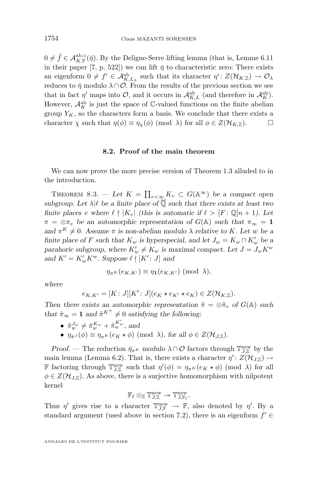<span id="page-20-0"></span> $0 \neq \tilde{f} \in \mathcal{A}_{K,\mathbb{F}}^{\text{ab},\circ}(\bar{\eta})$ . By the Deligne-Serre lifting lemma (that is, Lemme 6.11) in their paper [\[7,](#page-31-0) p. 522]) we can lift  $\bar{\eta}$  to characteristic zero: There exists an eigenform  $0 \neq f' \in \mathcal{A}_{K,L_\lambda}^{\text{ab}}$  such that its character  $\eta' : Z(\mathcal{H}_{K,\mathbb{Z}}) \to \mathcal{O}_{\lambda}$ reduces to  $\bar{\eta}$  modulo  $\lambda \cap \mathcal{O}$ . From the results of the previous section we see that in fact  $\eta'$  maps into  $\mathcal{O}$ , and it occurs in  $\mathcal{A}_{K,L}^{ab}$  (and therefore in  $\mathcal{A}_{K}^{ab}$ ). However,  $\mathcal{A}_K^{\text{ab}}$  is just the space of  $\mathbb C$ -valued functions on the finite abelian group  $Y_K$ , so the characters form a basis. We conclude that there exists a character  $\chi$  such that  $\eta(\phi) \equiv \eta_{\chi}(\phi) \pmod{\lambda}$  for all  $\phi \in Z(\mathcal{H}_{K,\mathbb{Z}})$ .

#### **8.2. Proof of the main theorem**

We can now prove the more precise version of Theorem [1.3](#page-3-0) alluded to in the introduction.

THEOREM 8.3. — Let  $K = \prod_{v < \infty} K_v \subset G(\mathbb{A}^{\infty})$  be a compact open *subgroup. Let*  $\lambda | \ell$  *be a finite place of*  $\overline{Q}$  *such that there exists at least two finite places* v where  $\ell \nmid |K_v|$  *(this is automatic if*  $\ell > [F : \mathbb{Q}]n + 1$ *). Let*  $\pi = \otimes \pi_v$  be an automorphic representation of  $G(\mathbb{A})$  such that  $\pi_{\infty} = 1$  $\alpha$ *nd*  $\pi^{K} \neq 0$ *.* Assume  $\pi$  *is non-abelian modulo*  $\lambda$  *relative to* K*. Let w be a finite place of* F *such that*  $K_w$  *is hyperspecial, and let*  $J_w = K_w \cap K'_w$  *be a* parahoric subgroup, where  $K'_w \neq K_w$  is maximal compact. Let  $J = J_w K^w$ and  $K' = K_w' K^w$ . Suppose  $\ell \nmid [K': J]$  and

$$
\eta_{\pi^K}(e_{K,K'}) \equiv \eta_1(e_{K,K'}) \; (\text{mod } \lambda),
$$

*where*

$$
e_{K,K'} = [K:J][K':J](e_K \star e_{K'} \star e_K) \in Z(\mathcal{H}_{K,\mathbb{Z}}).
$$

*Then there exists an automorphic representation*  $\tilde{\pi} = \otimes \tilde{\pi}_v$  *of*  $G(\mathbb{A})$  *such that*  $\tilde{\pi}_{\infty} = 1$  *and*  $\tilde{\pi}^{K^w} \neq 0$  *satisfying the following:* 

- $\tilde{\pi}_{w}^{J_{w}} \neq \tilde{\pi}_{w}^{K_{w}} + \tilde{\pi}_{w}^{K'_{w}},$  and
- $\eta_{\tilde{\pi}^J}(\phi) \equiv \eta_{\pi^K}(e_K \star \phi) \pmod{\lambda}$ , for all  $\phi \in Z(\mathcal{H}_{J,\mathbb{Z}})$ .

*Proof.* — The reduction  $\bar{\eta}_{\pi K}$  modulo  $\lambda \cap \mathcal{O}$  factors through  $\mathbb{T}^{\text{new}}_{J,\mathbb{Z}}$  by the main lemma (Lemma [6.2\)](#page-14-0). That is, there exists a character  $\eta' : Z(\mathcal{H}_{J,\mathbb{Z}}) \to$ **F** factoring through  $\mathbb{T}_{J,\mathbb{Z}}^{\text{new}}$  such that  $\eta'(\phi) = \eta_{\pi^K}(e_K \star \phi)$  (mod  $\lambda$ ) for all  $\phi \in Z(\mathcal{H}_{J,\mathbb{Z}})$ . As above, there is a surjective homomorphism with nilpotent kernel

$$
\mathbb{F}_\ell \otimes_\mathbb{Z} \mathbb{T}^{\mathrm{new}}_{J,\mathbb{Z}} \twoheadrightarrow \mathbb{T}^{\mathrm{new}}_{J,\mathbb{F}_\ell}.
$$

Thus  $\eta'$  gives rise to a character  $\mathbb{T}^{\text{new}}_{J,\mathbb{F}} \to \mathbb{F}$ , also denoted by  $\eta'$ . By a standard argument (used above in section [7.2\)](#page-16-0), there is an eigenform  $f' \in$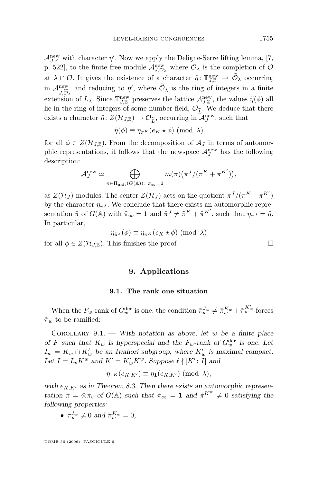$\mathcal{A}_{J,\mathbb{F}}^{\text{new}}$  with character  $\eta'$ . Now we apply the Deligne-Serre lifting lemma, [\[7,](#page-31-0) p. 522], to the finite free module  $\mathcal{A}_{J,\mathcal{O}_{\lambda}}^{\text{new}}$  where  $\mathcal{O}_{\lambda}$  is the completion of  $\mathcal{O}_{\lambda}$ at  $\lambda \cap \mathcal{O}$ . It gives the existence of a character  $\tilde{\eta}$ :  $\mathbb{T}^{\text{new}}_{J,\mathbb{Z}} \to \tilde{\mathcal{O}}_{\lambda}$  occurring in  $\mathcal{A}_{J,\widetilde{O}_{\lambda}}^{\text{new}}$  and reducing to  $\eta'$ , where  $\mathcal{O}_{\lambda}$  is the ring of integers in a finite J,  $\mathcal{O}_{\lambda}$  extension of  $L_{\lambda}$ . Since  $\mathbb{T}_{J,\mathbb{Z}}^{\text{new}}$  preserves the lattice  $\mathcal{A}_{J,\mathbb{Z}}^{\text{new}}$ , the values  $\tilde{\eta}(\phi)$  all lie in the ring of integers of some number field,  $\mathcal{O}_{\widetilde{L}}$ . We deduce that there exists a character  $\widetilde{\eta}$ :  $Z(\mathcal{H}_{J\mathbb{Z}}) \to \mathcal{O}_{\widetilde{\tau}}$ , occurring in  $\mathcal{A}_{\tau}^{\text{new}}$ , such that exists a character  $\tilde{\eta}$ :  $Z(\mathcal{H}_{J,\mathbb{Z}}) \to \mathcal{O}_{\widetilde{L}}$ , occurring in  $\mathcal{A}_J^{\text{new}}$ , such that

$$
\tilde{\eta}(\phi) \equiv \eta_{\pi^K}(e_K \star \phi) \pmod{\lambda}
$$

for all  $\phi \in Z(\mathcal{H}_{J,\mathbb{Z}})$ . From the decomposition of  $\mathcal{A}_J$  in terms of automorphic representations, it follows that the newspace  $\mathcal{A}_J^{\text{new}}$  has the following description:

$$
\mathcal{A}_J^{\text{new}} \simeq \bigoplus_{\pi \in \Pi_{\text{unit}}(G(\mathbb{A})) \colon \pi_{\infty} = \mathbf{1}} m(\pi) \bigl(\pi^J / (\pi^K + \pi^{K'})\bigr),
$$

as  $Z(\mathcal{H}_J)$ -modules. The center  $Z(\mathcal{H}_J)$  acts on the quotient  $\pi^J/(\pi^K + \pi^{K'})$ by the character  $\eta_{\pi J}$ . We conclude that there exists an automorphic representation  $\tilde{\pi}$  of  $G(\mathbb{A})$  with  $\tilde{\pi}_{\infty} = 1$  and  $\tilde{\pi}^{J} \neq \tilde{\pi}^{K} + \tilde{\pi}^{K'}$ , such that  $\eta_{\tilde{\pi}^{J}} = \tilde{\eta}$ . In particular,

$$
\eta_{\tilde{\pi}^J}(\phi) \equiv \eta_{\pi^K}(e_K \star \phi) \pmod{\lambda}
$$

for all  $\phi \in Z(\mathcal{H}_{J,\mathbb{Z}})$ . This finishes the proof

#### **9. Applications**

#### **9.1. The rank one situation**

When the  $F_w$ -rank of  $G_w^{\text{der}}$  is one, the condition  $\tilde{\pi}_w^{J_w} \neq \tilde{\pi}_w^{K_w} + \tilde{\pi}_w^{K'_w}$  forces  $\tilde{\pi}_w$  to be ramified:

Corollary 9.1. — *With notation as above, let* w *be a finite place of* F such that  $K_w$  is hyperspecial and the  $F_w$ -rank of  $G_w^{\text{der}}$  is one. Let  $I_w = K_w \cap K'_w$  be an Iwahori subgroup, where  $K'_w$  is maximal compact. Let  $I = I_w K^w$  and  $K' = K'_w K^w$ . Suppose  $\ell \nmid [K': I]$  and

$$
\eta_{\pi^K}(e_{K,K'}) \equiv \eta_1(e_{K,K'}) \; (\text{mod } \lambda),
$$

with  $e_{K,K'}$  as in Theorem [8.3.](#page-20-0) Then there exists an automorphic represen*tation*  $\tilde{\pi} = \otimes \tilde{\pi}_v$  *of*  $G(\mathbb{A})$  *such that*  $\tilde{\pi}_{\infty} = 1$  *and*  $\tilde{\pi}^{K^w} \neq 0$  *satisfying the following properties:*

•  $\tilde{\pi}_w^{I_w} \neq 0$  and  $\tilde{\pi}_w^{K_w} = 0$ ,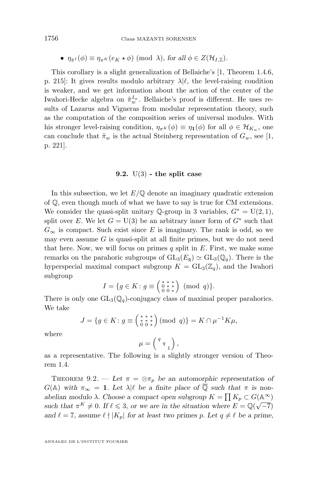•  $\eta_{\tilde{\pi}^I}(\phi) \equiv \eta_{\pi^K}(e_K \star \phi) \pmod{\lambda}$ , for all  $\phi \in Z(\mathcal{H}_{I,\mathbb{Z}})$ .

This corollary is a slight generalization of Bellaiche's [\[1,](#page-31-0) Theorem 1.4.6, p. 215. It gives results modulo arbitrary  $\lambda | \ell$ , the level-raising condition is weaker, and we get information about the action of the center of the Iwahori-Hecke algebra on  $\tilde{\pi}_w^{I_w}$ . Bellaiche's proof is different. He uses results of Lazarus and Vigneras from modular representation theory, such as the computation of the composition series of universal modules. With his stronger level-raising condition,  $\eta_{\pi^K}(\phi) \equiv \eta_1(\phi)$  for all  $\phi \in \mathcal{H}_{K_w}$ , one can conclude that  $\tilde{\pi}_w$  is the actual Steinberg representation of  $G_w$ , see [\[1,](#page-31-0) p. 221].

#### **9.2.** U(3) **- the split case**

In this subsection, we let  $E/\mathbb{Q}$  denote an imaginary quadratic extension of Q, even though much of what we have to say is true for CM extensions. We consider the quasi-split unitary  $\mathbb{Q}$ -group in 3 variables,  $G^* = U(2, 1)$ , split over E. We let  $G = U(3)$  be an arbitrary inner form of  $G^*$  such that  $G_{\infty}$  is compact. Such exist since E is imaginary. The rank is odd, so we may even assume  $G$  is quasi-split at all finite primes, but we do not need that here. Now, we will focus on primes  $q$  split in  $E$ . First, we make some remarks on the parahoric subgroups of  $GL_3(E_{\mathfrak{q}}) \simeq GL_3(\mathbb{Q}_q)$ . There is the hyperspecial maximal compact subgroup  $K = GL_3(\mathbb{Z}_q)$ , and the Iwahori subgroup

$$
I = \{ g \in K : g \equiv \left( \begin{smallmatrix} * & * & * \\ 0 & * & * \\ 0 & 0 & * \end{smallmatrix} \right) \pmod{q} \}.
$$

There is only one  $GL_3(\mathbb{Q}_q)$ -conjugacy class of maximal proper parahorics. We take

$$
J = \{ g \in K : g \equiv \left( \begin{smallmatrix} * & * & * \\ * & * & * \\ 0 & 0 & * \end{smallmatrix} \right) (\text{mod } q) \} = K \cap \mu^{-1} K \mu,
$$

where

$$
\mu = \left(\begin{array}{c} q \\ q \\ 1 \end{array}\right),
$$

as a representative. The following is a slightly stronger version of Theorem [1.4.](#page-4-0)

THEOREM 9.2. — Let  $\pi = \otimes \pi_p$  be an automorphic representation of  $G(A)$  with  $\pi_{\infty} = 1$ . Let  $\lambda | \ell$  be a finite place of  $\overline{Q}$  such that  $\pi$  is non*abelian modulo*  $\lambda$ *. Choose a compact open subgroup*  $K = \prod K_p \subset G(\mathbb{A}^{\infty})$ *such that*  $\pi^K \neq 0$ . If  $\ell \leq 3$ , or we are in the situation where  $E = \mathbb{Q}(\sqrt{-7})$ *and*  $\ell = 7$ *, assume*  $\ell \mid |K_p|$  *for at least two primes p. Let*  $q \neq \ell$  *be a prime,*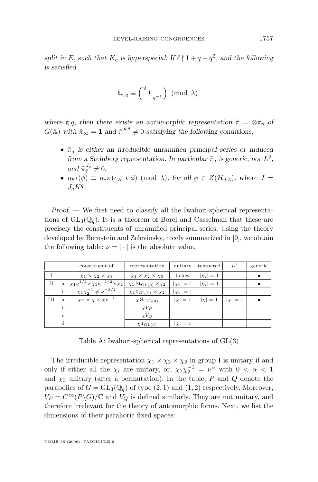split in E, such that  $K_q$  is hyperspecial. If  $\ell \nmid 1 + q + q^2$ , and the following *is satisfied*

$$
\mathfrak{t}_{\pi,\mathfrak{q}}\equiv\Big(\begin{smallmatrix}q\\&1\\&&q^{-1}\end{smallmatrix}\Big)\ (\mathrm{mod}\ \lambda),
$$

*where*  $\mathfrak{q}|q$ *, then there exists an automorphic representation*  $\tilde{\pi} = \otimes \tilde{\pi}_p$  *of*  $G(\mathbb{A})$  with  $\tilde{\pi}_{\infty} = 1$  and  $\tilde{\pi}^{K^q} \neq 0$  satisfying the following conditions,

- $\tilde{\pi}_q$  is either an irreducible unramified principal series or induced from a Steinberg representation. In particular  $\tilde{\pi}_q$  is generic, not  $L^2$ , and  $\tilde{\pi}_q^{J_q} \neq 0$ ,
- $\eta_{\tilde{\pi}^J}(\phi) \equiv \eta_{\pi^K}(e_K \star \phi) \pmod{\lambda}$ , for all  $\phi \in Z(\mathcal{H}_{J,\mathbb{Z}})$ , where  $J =$  $J_q K^q$ .

*Proof. —* We first need to classify all the Iwahori-spherical representations of  $GL_3(\mathbb{Q}_q)$ . It is a theorem of Borel and Casselman that these are precisely the constituents of unramified principal series. Using the theory developed by Bernstein and Zelevinsky, nicely summarized in [\[9\]](#page-31-0), we obtain the following table:  $\nu = |\cdot|$  is the absolute value,

|             |              | constituent of                                            | representation                                     | unitary      | tempered     | $L^2$      | generic |
|-------------|--------------|-----------------------------------------------------------|----------------------------------------------------|--------------|--------------|------------|---------|
|             |              | $\chi_1 \times \chi_2 \times \chi_3$                      | $\chi_1 \times \chi_2 \times \chi_3$               | below        | $ \chi_i =1$ |            |         |
| $_{\rm II}$ | $\mathbf{a}$ | $\chi_1 \nu^{1/2} \times \chi_1 \nu^{-1/2} \times \chi_2$ | $\chi_1 \text{St}_{GL(2)} \times \chi_2$           | $ \chi_i =1$ | $ \chi_i =1$ |            |         |
|             | $\mathbf b$  | $\chi_1 \chi_2^{-1} \neq \nu^{\pm 3/2}$                   | $\chi_1 \mathbf{1}_{\mathrm{GL}(2)} \times \chi_2$ | $ \chi_i =1$ |              |            |         |
| Ш           | a.           | $\chi \nu \times \chi \times \chi \nu^{-1}$               | $\chi\rm St_{GL(3)}$                               | $ \chi =1$   | $ \chi =1$   | $ \chi =1$ |         |
|             | b            |                                                           | $\chi V_P$                                         |              |              |            |         |
|             | $\mathbf{C}$ |                                                           | $\chi V_Q$                                         |              |              |            |         |
|             | d            |                                                           | $\chi^{\mathbf{1}}$ GL(3)                          | $ \chi =1$   |              |            |         |

Table A: Iwahori-spherical representations of GL(3)

The irreducible representation  $\chi_1 \times \chi_2 \times \chi_2$  in group I is unitary if and only if either all the  $\chi_i$  are unitary, or,  $\chi_1 \chi_2^{-1} = \nu^{\alpha}$  with  $0 < \alpha < 1$ and  $\chi_3$  unitary (after a permutation). In the table, P and Q denote the parabolics of  $G = GL_3(\mathbb{Q}_q)$  of type  $(2, 1)$  and  $(1, 2)$  respectively. Moreover,  $V_P = C^{\infty}(P \backslash G)/\mathbb{C}$  and  $V_Q$  is defined similarly. They are not unitary, and therefore irrelevant for the theory of automorphic forms. Next, we list the dimensions of their parahoric fixed spaces: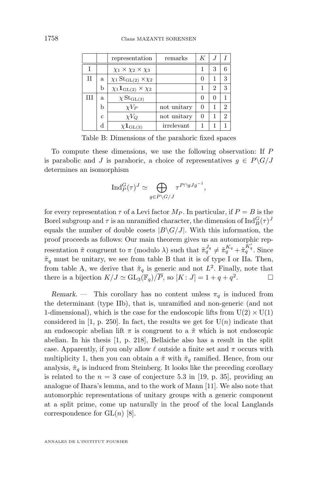|   |              | representation                                               | remarks     | K                |   |               |
|---|--------------|--------------------------------------------------------------|-------------|------------------|---|---------------|
|   |              | $\chi_1 \times \chi_2 \times \chi_3$                         |             |                  | 3 | 6             |
| П | a            | $\chi_1\operatorname{St}_{\operatorname{GL}(2)}\times\chi_2$ |             | $\left( \right)$ |   | 3             |
|   | b            | $\chi_1 \mathbf{1}_{\mathrm{GL}(2)} \times \chi_2$           |             |                  | 2 | 3             |
| Ħ | a            | $\chi \mathrm{St}_{\mathrm{GL}(3)}$                          |             | O                | O |               |
|   | b            | $\chi V_P$                                                   | not unitary | 0                |   | $\mathcal{D}$ |
|   | $\mathbf{c}$ | $\chi V_Q$                                                   | not unitary | O                |   | $\mathcal{D}$ |
|   | d            | $\chi {\bf 1}_{\text{GL}(3)}$                                | irrelevant  |                  |   |               |

Table B: Dimensions of the parahoric fixed spaces

To compute these dimensions, we use the following observation: If P is parabolic and J is parahoric, a choice of representatives  $g \in P\backslash G/J$ determines an isomorphism

$$
\operatorname{Ind}_P^G(\tau)^J \simeq \bigoplus_{g \in P \backslash G/J} \tau^{P \cap gJg^{-1}},
$$

for every representation  $\tau$  of a Levi factor  $M_P$ . In particular, if  $P = B$  is the Borel subgroup and  $\tau$  is an unramified character, the dimension of  $\operatorname{Ind}_{B}^{G}(\tau)^{J}$ equals the number of double cosets  $|B\setminus G/J|$ . With this information, the proof proceeds as follows: Our main theorem gives us an automorphic representation  $\tilde{\pi}$  congruent to  $\pi$  (modulo  $\lambda$ ) such that  $\tilde{\pi}_q^{J_q} \neq \tilde{\pi}_q^{K_q} + \tilde{\pi}_q^{K'_q}$ . Since  $\tilde{\pi}_q$  must be unitary, we see from table B that it is of type I or IIa. Then, from table A, we derive that  $\tilde{\pi}_q$  is generic and not  $L^2$ . Finally, note that there is a bijection  $K/J \simeq \mathrm{GL}_3(\mathbb{F}_q)/\overline{P}$ , so  $[K: J] = 1 + q + q^2$ .

*Remark.* — This corollary has no content unless  $\pi_q$  is induced from the determinant (type IIb), that is, unramified and non-generic (and not 1-dimensional), which is the case for the endoscopic lifts from  $U(2) \times U(1)$ considered in [\[1,](#page-31-0) p. 250]. In fact, the results we get for  $U(n)$  indicate that an endoscopic abelian lift  $\pi$  is congruent to a  $\tilde{\pi}$  which is not endoscopic abelian. In his thesis [\[1,](#page-31-0) p. 218], Bellaiche also has a result in the split case. Apparently, if you only allow  $\ell$  outside a finite set and  $\pi$  occurs with multiplicity 1, then you can obtain a  $\tilde{\pi}$  with  $\tilde{\pi}_q$  ramified. Hence, from our analysis,  $\tilde{\pi}_q$  is induced from Steinberg. It looks like the preceding corollary is related to the  $n = 3$  case of conjecture 5.3 in [\[19,](#page-31-0) p. 35], providing an analogue of Ihara's lemma, and to the work of Mann [\[11\]](#page-31-0). We also note that automorphic representations of unitary groups with a generic component at a split prime, come up naturally in the proof of the local Langlands correspondence for  $GL(n)$  [\[8\]](#page-31-0).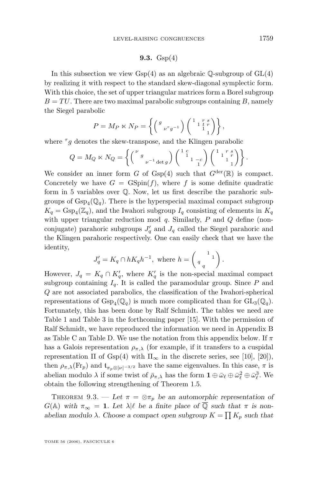#### **9.3.** Gsp(4)

<span id="page-25-0"></span>In this subsection we view  $Gsp(4)$  as an algebraic  $\mathbb{Q}$ -subgroup of  $GL(4)$ by realizing it with respect to the standard skew-diagonal symplectic form. With this choice, the set of upper triangular matrices form a Borel subgroup  $B = TU$ . There are two maximal parabolic subgroups containing B, namely the Siegel parabolic

$$
P = M_P \ltimes N_P = \left\{ \begin{pmatrix} g & 0 & 0 \\ 0 & \nu^{\tau} g^{-1} & 0 \\ 0 & 0 & 1 \end{pmatrix} \begin{pmatrix} 1 & 0 & 0 \\ 0 & 1 & 0 \\ 0 & 1 & 0 \end{pmatrix} \right\},
$$

where  $\tau_g$  denotes the skew-transpose, and the Klingen parabolic

$$
Q = M_Q \ltimes N_Q = \left\{ \begin{pmatrix} \nu & & \\ & \nu^{-1} \det g \end{pmatrix} \begin{pmatrix} 1 & c & \\ & 1 & -c \\ & & 1 \end{pmatrix} \begin{pmatrix} 1 & r & s \\ & 1 & r \\ & & 1 \end{pmatrix} \right\}.
$$

We consider an inner form G of Gsp(4) such that  $G^{\text{der}}(\mathbb{R})$  is compact. Concretely we have  $G = \text{GSpin}(f)$ , where f is some definite quadratic form in 5 variables over Q. Now, let us first describe the parahoric subgroups of  $\operatorname{Gsp}_4(\mathbb{Q}_q)$ . There is the hyperspecial maximal compact subgroup  $K_q = \text{Gsp}_4(\mathbb{Z}_q)$ , and the Iwahori subgroup  $I_q$  consisting of elements in  $K_q$ with upper triangular reduction mod  $q$ . Similarly,  $P$  and  $Q$  define (nonconjugate) parahoric subgroups  $J'_q$  and  $J_q$  called the Siegel parahoric and the Klingen parahoric respectively. One can easily check that we have the identity,

$$
J'_q = K_q \cap hK_qh^{-1}, \text{ where } h = \begin{pmatrix} 1 & 1 \\ q & q \end{pmatrix}.
$$

However,  $J_q = K_q \cap K'_q$ , where  $K'_q$  is the non-special maximal compact subgroup containing  $I_q$ . It is called the paramodular group. Since P and Q are not associated parabolics, the classification of the Iwahori-spherical representations of  $\text{Gsp}_4(\mathbb{Q}_q)$  is much more complicated than for  $\text{GL}_3(\mathbb{Q}_q)$ . Fortunately, this has been done by Ralf Schmidt. The tables we need are Table 1 and Table 3 in the forthcoming paper [\[15\]](#page-31-0). With the permission of Ralf Schmidt, we have reproduced the information we need in Appendix [B](#page-29-0) as Table C an Table D. We use the notation from this appendix below. If  $\pi$ has a Galois representation  $\rho_{\pi,\lambda}$  (for example, if it transfers to a cuspidal representation  $\Pi$  of Gsp(4) with  $\Pi_{\infty}$  in the discrete series, see [\[10\]](#page-31-0), [\[20\]](#page-31-0)), then  $\rho_{\pi,\lambda}(\text{Fr}_p)$  and  $\mathfrak{t}_{\pi_p\otimes|\nu|^{-3/2}}$  have the same eigenvalues. In this case,  $\pi$  is abelian modulo  $\lambda$  if some twist of  $\bar{\rho}_{\pi,\lambda}$  has the form  $\mathbf{1} \oplus \bar{\omega}_{\ell} \oplus \bar{\omega}_{\ell}^2 \oplus \bar{\omega}_{\ell}^3$ . We obtain the following strengthening of Theorem [1.5.](#page-4-0)

THEOREM 9.3. — Let  $\pi = \otimes \pi_p$  be an automorphic representation of  $G(A)$  with  $\pi_{\infty} = 1$ . Let  $\lambda | \ell$  be a finite place of  $\overline{Q}$  such that  $\pi$  is nonabelian modulo  $\lambda$ . Choose a compact open subgroup  $K = \prod K_p$  such that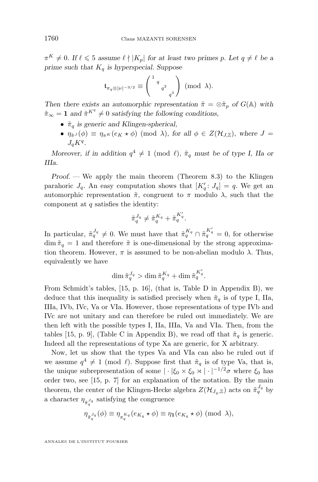$\pi^K \neq 0$ . If  $\ell \leq 5$  assume  $\ell \nmid |K_p|$  for at least two primes p. Let  $q \neq \ell$  be a *prime such that*  $K_q$  *is hyperspecial. Suppose* 

$$
\mathfrak{t}_{\pi_q \otimes |\nu|^{-3/2}} \equiv \left(\begin{smallmatrix} 1 & q \\ & q^2 \\ & q^3 \end{smallmatrix}\right) \pmod{\lambda}.
$$

*Then there exists an automorphic representation*  $\tilde{\pi} = \otimes \tilde{\pi}_p$  *of*  $G(\mathbb{A})$  *with*  $\tilde{\pi}_{\infty} = 1$  and  $\tilde{\pi}^{K^q} \neq 0$  satisfying the following conditions,

- $\tilde{\pi}_q$  is generic and Klingen-spherical,
- $\eta_{\tilde{\pi}^J}(\phi) \equiv \eta_{\pi^K}(e_K \star \phi) \pmod{\lambda}$ , for all  $\phi \in Z(\mathcal{H}_{J,\mathbb{Z}})$ , where  $J =$  $J_q K^q$ .

*Moreover, if in addition*  $q^4 \neq 1 \pmod{l}$ ,  $\tilde{\pi}_q$  *must be of type I, IIa or IIIa.*

*Proof.* — We apply the main theorem (Theorem [8.3\)](#page-20-0) to the Klingen parahoric  $J_q$ . An easy computation shows that  $[K'_q: J_q] = q$ . We get an automorphic representation  $\tilde{\pi}$ , congruent to  $\pi$  modulo  $\lambda$ , such that the component at  $q$  satisfies the identity:

$$
\tilde{\pi}_q^{J_q} \neq \tilde{\pi}_q^{K_q} + \tilde{\pi}_q^{K_q'}.
$$

In particular,  $\tilde{\pi}_q^{J_q} \neq 0$ . We must have that  $\tilde{\pi}_q^{K_q} \cap \tilde{\pi}_q^{K_q'} = 0$ , for otherwise dim  $\tilde{\pi}_q = 1$  and therefore  $\tilde{\pi}$  is one-dimensional by the strong approximation theorem. However,  $\pi$  is assumed to be non-abelian modulo  $\lambda$ . Thus, equivalently we have

$$
\dim \tilde{\pi}_q^{J_q} > \dim \tilde{\pi}_q^{K_q} + \dim \tilde{\pi}_q^{K'_q}.
$$

From Schmidt's tables, [\[15,](#page-31-0) p. 16], (that is, Table D in Appendix [B\)](#page-29-0), we deduce that this inequality is satisfied precisely when  $\tilde{\pi}_q$  is of type I, IIa, IIIa, IVb, IVc, Va or VIa. However, those representations of type IVb and IVc are not unitary and can therefore be ruled out immediately. We are then left with the possible types I, IIa, IIIa, Va and VIa. Then, from the tables [\[15,](#page-31-0) p. 9], (Table C in Appendix [B\)](#page-29-0), we read off that  $\tilde{\pi}_q$  is generic. Indeed all the representations of type Xa are generic, for X arbitrary.

Now, let us show that the types Va and VIa can also be ruled out if we assume  $q^4 \neq 1 \pmod{\ell}$ . Suppose first that  $\tilde{\pi}_q$  is of type Va, that is, the unique subrepresentation of some  $|\cdot|\xi_0 \times \xi_0 \times |\cdot|^{-1/2}\sigma$  where  $\xi_0$  has order two, see [\[15,](#page-31-0) p. 7] for an explanation of the notation. By the main theorem, the center of the Klingen-Hecke algebra  $Z(\mathcal{H}_{J_q,\mathbb{Z}})$  acts on  $\tilde{\pi}_q^{J_q}$  by a character  $\eta_{\tilde{\pi}_q^{J_q}}$  satisfying the congruence

$$
\eta_{\tilde{\pi}_q^{J_q}}(\phi) \equiv \eta_{\pi_q^{K_q}}(e_{K_q} \star \phi) \equiv \eta_1(e_{K_q} \star \phi) \pmod{\lambda},
$$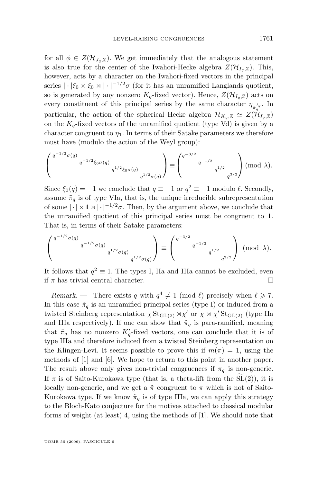for all  $\phi \in Z(\mathcal{H}_{J_q,\mathbb{Z}})$ . We get immediately that the analogous statement is also true for the center of the Iwahori-Hecke algebra  $Z(\mathcal{H}_{I_{\alpha},\mathbb{Z}})$ . This, however, acts by a character on the Iwahori-fixed vectors in the principal series  $|\cdot|\xi_0 \times \xi_0 \times |\cdot|^{-1/2}\sigma$  (for it has an unramified Langlands quotient, so is generated by any nonzero  $K_q$ -fixed vector). Hence,  $Z(\mathcal{H}_{I_q,\mathbb{Z}})$  acts on every constituent of this principal series by the same character  $\eta_{\tilde{\pi}_q^{I_q}}$ . In particular, the action of the spherical Hecke algebra  $\mathcal{H}_{K_q,\mathbb{Z}} \simeq Z(\mathcal{H}_{I_q,\mathbb{Z}})$ on the  $K_q$ -fixed vectors of the unramified quotient (type Vd) is given by a character congruent to  $\eta_1$ . In terms of their Satake parameters we therefore must have (modulo the action of the Weyl group):

$$
\left( \begin{smallmatrix} q^{-1/2} \sigma(q) & & \\ & q^{-1/2} \xi_0 \sigma(q) & \\ & & q^{1/2} \xi_0 \sigma(q) & \\ & & & q^{1/2} \sigma(q) \end{smallmatrix} \right) \equiv \left( \begin{smallmatrix} q^{-3/2} & & \\ & q^{-1/2} & \\ & & q^{1/2} & \\ & & & q^{3/2} \end{smallmatrix} \right) \pmod{\lambda}.
$$

Since  $\xi_0(q) = -1$  we conclude that  $q \equiv -1$  or  $q^2 \equiv -1$  modulo  $\ell$ . Secondly, assume  $\tilde{\pi}_q$  is of type VIa, that is, the unique irreducible subrepresentation of some  $|\cdot| \times 1 \times |\cdot|^{-1/2} \sigma$ . Then, by the argument above, we conclude that the unramified quotient of this principal series must be congruent to 1. That is, in terms of their Satake parameters:

$$
\left( \begin{smallmatrix} q^{-1/2} \sigma(q) & & \\ & q^{-1/2} \sigma(q) & \\ & & q^{1/2} \sigma(q) & \\ & & & q^{1/2} \sigma(q) \end{smallmatrix} \right) \equiv \left( \begin{smallmatrix} q^{-3/2} & & & \\ & q^{-1/2} & & \\ & & q^{1/2} & \\ & & & q^{3/2} \end{smallmatrix} \right) \ (\mathrm{mod} \ \lambda).
$$

It follows that  $q^2 \equiv 1$ . The types I, IIa and IIIa cannot be excluded, even if  $\pi$  has trivial central character.

*Remark.* – There exists q with  $q^4 \neq 1 \pmod{l}$  precisely when  $l \geq 7$ . In this case  $\tilde{\pi}_q$  is an unramified principal series (type I) or induced from a twisted Steinberg representation  $\chi$  St<sub>GL(2)</sub>  $\forall \chi'$  or  $\chi \times \chi'$  St<sub>GL(2)</sub> (type IIa and IIIa respectively). If one can show that  $\tilde{\pi}_q$  is para-ramified, meaning that  $\tilde{\pi}_q$  has no nonzero  $K'_q$ -fixed vectors, one can conclude that it is of type IIIa and therefore induced from a twisted Steinberg representation on the Klingen-Levi. It seems possible to prove this if  $m(\pi) = 1$ , using the methods of [\[1\]](#page-31-0) and [\[6\]](#page-31-0). We hope to return to this point in another paper. The result above only gives non-trivial congruences if  $\pi_q$  is non-generic. If  $\pi$  is of Saito-Kurokawa type (that is, a theta-lift from the SL(2)), it is locally non-generic, and we get a  $\tilde{\pi}$  congruent to  $\pi$  which is not of Saito-Kurokawa type. If we know  $\tilde{\pi}_q$  is of type IIIa, we can apply this strategy to the Bloch-Kato conjecture for the motives attached to classical modular forms of weight (at least) 4, using the methods of [\[1\]](#page-31-0). We should note that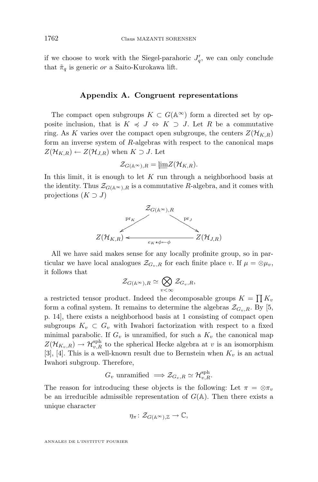if we choose to work with the Siegel-parahoric  $J'_q$ , we can only conclude that  $\tilde{\pi}_q$  is generic or a Saito-Kurokawa lift.

#### **Appendix A. Congruent representations**

The compact open subgroups  $K \subset G(\mathbb{A}^{\infty})$  form a directed set by opposite inclusion, that is  $K \preccurlyeq J \Leftrightarrow K \supset J$ . Let R be a commutative ring. As K varies over the compact open subgroups, the centers  $Z(\mathcal{H}_{K,R})$ form an inverse system of R-algebras with respect to the canonical maps  $Z(\mathcal{H}_{K,R}) \leftarrow Z(\mathcal{H}_{J,R})$  when  $K \supset J$ . Let

$$
\mathcal{Z}_{G(\mathbb{A}^{\infty}),R} = \underleftarrow{\lim} Z(\mathcal{H}_{K,R}).
$$

In this limit, it is enough to let  $K$  run through a neighborhood basis at the identity. Thus  $\mathcal{Z}_{G(\mathbb{A}^{\infty})\backslash R}$  is a commutative R-algebra, and it comes with projections  $(K \supset J)$ 



All we have said makes sense for any locally profinite group, so in particular we have local analogues  $\mathcal{Z}_{G_v,R}$  for each finite place v. If  $\mu = \otimes \mu_v$ , it follows that

$$
\mathcal Z_{G(\mathbb A^\infty),R}\simeq\bigotimes_{v<\infty}\mathcal Z_{G_v,R},
$$

a restricted tensor product. Indeed the decomposable groups  $K = \prod K_v$ form a cofinal system. It remains to determine the algebras  $\mathcal{Z}_{G_v,R}$ . By [\[5,](#page-31-0) p. 14], there exists a neighborhood basis at 1 consisting of compact open subgroups  $K_v \subset G_v$  with Iwahori factorization with respect to a fixed minimal parabolic. If  $G_v$  is unramified, for such a  $K_v$  the canonical map  $Z(\mathcal{H}_{K_v,R}) \to \mathcal{H}_{v,R}^{\mathrm{sph}}$  to the spherical Hecke algebra at v is an isomorphism [\[3\]](#page-31-0), [\[4\]](#page-31-0). This is a well-known result due to Bernstein when  $K_v$  is an actual Iwahori subgroup. Therefore,

$$
G_v
$$
 unramified  $\implies \mathcal{Z}_{G_v,R} \simeq \mathcal{H}_{v,R}^{\mathrm{sph}}$ .

The reason for introducing these objects is the following: Let  $\pi = \otimes \pi_v$ be an irreducible admissible representation of  $G(A)$ . Then there exists a unique character

$$
\eta_{\pi} \colon \mathcal{Z}_{G(\mathbb{A}^{\infty}),\mathbb{Z}} \to \mathbb{C},
$$

ANNALES DE L'INSTITUT FOURIER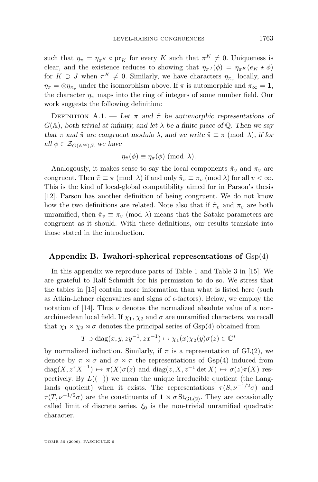<span id="page-29-0"></span>such that  $\eta_{\pi} = \eta_{\pi^K} \circ \text{pr}_K$  for every K such that  $\pi^K \neq 0$ . Uniqueness is clear, and the existence reduces to showing that  $\eta_{\pi}(\phi) = \eta_{\pi^K}(e_K \star \phi)$ for  $K \supset J$  when  $\pi^K \neq 0$ . Similarly, we have characters  $\eta_{\pi_v}$  locally, and  $\eta_{\pi} = \otimes \eta_{\pi_v}$  under the isomorphism above. If  $\pi$  is automorphic and  $\pi_{\infty} = 1$ , the character  $\eta_{\pi}$  maps into the ring of integers of some number field. Our work suggests the following definition:

DEFINITION A.1. — Let  $\pi$  and  $\tilde{\pi}$  be automorphic representations of  $G(\mathbb{A})$ , both trivial at infinity, and let  $\lambda$  be a finite place of  $\overline{\mathbb{Q}}$ . Then we say *that*  $\pi$  *and*  $\tilde{\pi}$  *are congruent modulo*  $\lambda$ *, and we write*  $\tilde{\pi} \equiv \pi \pmod{\lambda}$ *, if for all*  $\phi \in \mathcal{Z}_{G(\mathbb{A}^{\infty}),\mathbb{Z}}$  *we have* 

$$
\eta_{\tilde{\pi}}(\phi) \equiv \eta_{\pi}(\phi) \; (\text{mod } \lambda).
$$

Analogously, it makes sense to say the local components  $\tilde{\pi}_v$  and  $\pi_v$  are congruent. Then  $\tilde{\pi} \equiv \pi \pmod{\lambda}$  if and only  $\tilde{\pi}_v \equiv \pi_v \pmod{\lambda}$  for all  $v < \infty$ . This is the kind of local-global compatibility aimed for in Parson's thesis [\[12\]](#page-31-0). Parson has another definition of being congruent. We do not know how the two definitions are related. Note also that if  $\tilde{\pi}_v$  and  $\pi_v$  are both unramified, then  $\tilde{\pi}_v \equiv \pi_v \pmod{\lambda}$  means that the Satake parameters are congruent as it should. With these definitions, our results translate into those stated in the introduction.

#### **Appendix B. Iwahori-spherical representations of** Gsp(4)

In this appendix we reproduce parts of Table 1 and Table 3 in [\[15\]](#page-31-0). We are grateful to Ralf Schmidt for his permission to do so. We stress that the tables in [\[15\]](#page-31-0) contain more information than what is listed here (such as Atkin-Lehner eigenvalues and signs of  $\epsilon$ -factors). Below, we employ the notation of [\[14\]](#page-31-0). Thus  $\nu$  denotes the normalized absolute value of a nonarchimedean local field. If  $\chi_1$ ,  $\chi_2$  and  $\sigma$  are unramified characters, we recall that  $\chi_1 \times \chi_2 \times \sigma$  denotes the principal series of Gsp(4) obtained from

$$
T \ni \text{diag}(x, y, zy^{-1}, zx^{-1}) \mapsto \chi_1(x)\chi_2(y)\sigma(z) \in \mathbb{C}^*
$$

by normalized induction. Similarly, if  $\pi$  is a representation of GL(2), we denote by  $\pi \times \sigma$  and  $\sigma \times \pi$  the representations of Gsp(4) induced from  $diag(X, z^{\tau} X^{-1}) \mapsto \pi(X)\sigma(z)$  and  $diag(z, X, z^{-1} \det X) \mapsto \sigma(z)\pi(X)$  respectively. By  $L((-))$  we mean the unique irreducible quotient (the Langlands quotient) when it exists. The representations  $\tau(S, \nu^{-1/2}\sigma)$  and  $\tau(T, \nu^{-1/2}\sigma)$  are the constituents of  $1 \times \sigma \operatorname{St}_{GL(2)}$ . They are occasionally called limit of discrete series.  $\xi_0$  is the non-trivial unramified quadratic character.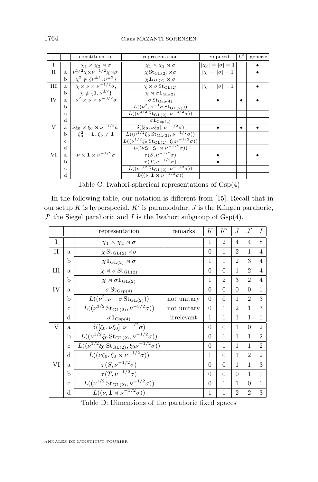|              |              | constituent of                                         | tempered<br>representation                                                       |                           | $\lfloor L^2 \rfloor$ | generic |
|--------------|--------------|--------------------------------------------------------|----------------------------------------------------------------------------------|---------------------------|-----------------------|---------|
| I            |              | $\chi_1 \times \chi_2 \rtimes \sigma$                  | $\chi_1 \times \chi_2 \rtimes \sigma$                                            | $ \chi_i  =  \sigma  = 1$ |                       |         |
| $\mathbf{I}$ | a.           | $\nu^{1/2}\chi\times\nu^{-1/2}\chi\rtimes\sigma$       | $\chi \operatorname{St}_{\operatorname{GL}(2)} \rtimes \sigma$                   | $ \chi  =  \sigma  = 1$   |                       |         |
|              | b            | $\chi^2 \notin {\{\nu^{\pm 1}, \nu^{\pm 3}\}}$         | $\chi \mathbf{1}_{\text{GL}(2)} \rtimes \sigma$                                  |                           |                       |         |
| Ш            | a.           | $\chi \times \nu \times \nu^{-1/2} \sigma$ ,           | $\chi \rtimes \sigma \operatorname{St}_{\operatorname{GL}(2)}$                   | $ \chi  =  \sigma  = 1$   |                       |         |
|              | b            | $\chi \notin \{1, \nu^{\pm 2}\}\$                      | $\chi \rtimes \sigma 1_{\mathrm{GL}(2)}$                                         |                           |                       |         |
| IV           | a.           | $\overline{\nu^2 \times \nu \times \nu^{-3/2} \sigma}$ | $\sigma\operatorname{St}_{\operatorname{Gsp}(4)}$                                |                           | $\bullet$             |         |
|              | b            |                                                        | $\overline{L((\nu^2,\nu^{-1}\sigma\operatorname{St}_{\operatorname{GL}(2)}))}$   |                           |                       |         |
|              | $\mathbf{C}$ |                                                        | $L((\nu^{3/2} \operatorname{St}_{GL(2)}, \nu^{-3/2} \sigma))$                    |                           |                       |         |
|              | $\mathbf d$  |                                                        | $\sigma {\bf 1}_{\text{Gsp(4)}}$                                                 |                           |                       |         |
| V            | a.           | $\nu \xi_0 \times \xi_0 \rtimes \nu^{-1/2} \sigma$     | $\delta([\xi_0, \nu \xi_0], \nu^{-1/2} \sigma)$                                  |                           | $\bullet$             |         |
|              | b            | $\xi_0^2 = 1, \xi_0 \neq 1$                            | $L((\nu^{1/2}\xi_0 \operatorname{St}_{\operatorname{GL}(2)}, \nu^{-1/2}\sigma))$ |                           |                       |         |
|              | $\mathbf{c}$ |                                                        | $L((\nu^{1/2}\xi_0 \, \text{St}_{\text{GL}(2)}, \xi_0 \nu^{-1/2}\sigma))$        |                           |                       |         |
|              | d            |                                                        | $L((\nu \xi_0, \xi_0 \rtimes \nu^{-1/2} \sigma))$                                |                           |                       |         |
| VI           | a.           | $\nu \times 1 \rtimes \nu^{-1/2} \sigma$               | $\tau(S, \nu^{-1/2}\sigma)$                                                      |                           |                       |         |
|              | Ь            |                                                        | $\overline{\tau(T,\nu^{-1/2}\sigma)}$                                            | $\bullet$                 |                       |         |
|              | $\ddot{c}$   |                                                        | $L((\nu^{1/2} \operatorname{St}_{\operatorname{GL}(2)}, \nu^{-1/2} \sigma))$     |                           |                       |         |
|              | d            |                                                        | $L((\nu, \mathbf{1} \rtimes \nu^{-1/2}\sigma))$                                  |                           |                       |         |

Table C: Iwahori-spherical representations of Gsp(4)

In the following table, our notation is different from [\[15\]](#page-31-0). Recall that in our setup K is hyperspecial,  $K'$  is paramodular, J is the Klingen parahoric,  $J'$  the Siegel parahoric and I is the Iwahori subgroup of  $Gsp(4)$ .

|              |              | representation                                                                         | remarks     | К            | $K^{\prime}$   | J              | J'             | I              |
|--------------|--------------|----------------------------------------------------------------------------------------|-------------|--------------|----------------|----------------|----------------|----------------|
| $\mathbf{I}$ |              | $\chi_1 \times \chi_2 \rtimes \sigma$                                                  |             | 1            | $\overline{2}$ | $\overline{4}$ | $\overline{4}$ | 8              |
| П            | a            | $\chi \operatorname{St}_{\operatorname{GL}(2)}\rtimes\sigma$                           |             | $\theta$     | 1              | $\mathfrak{D}$ | 1              | 4              |
|              | b            | $\chi \mathbf{1}_{\text{GL}(2)} \rtimes \sigma$                                        |             | 1            | 1              | $\overline{2}$ | 3              | 4              |
| Ш            | a            | $\chi \rtimes \sigma \operatorname{St}_{\operatorname{GL}(2)}$                         |             | $\theta$     | $\Omega$       | 1              | $\overline{2}$ | 4              |
|              | b            | $\chi \rtimes \sigma \mathbf{1}_{\text{GL}(2)}$                                        |             | $\mathbf{1}$ | $\overline{2}$ | 3              | $\overline{2}$ | 4              |
| IV           | a.           | $\sigma\operatorname{St}_{\operatorname{Gsp}(4)}$                                      |             | $\theta$     | $\Omega$       | $\Omega$       | $\Omega$       | $\mathbf{1}$   |
|              | b            | $\overline{L}((\nu^2, \nu^{-1}\sigma\operatorname{St}_{\operatorname{GL}(2)}))$        | not unitary | $\Omega$     | $\Omega$       | 1              | $\overline{2}$ | 3              |
|              | $\mathbf{c}$ | $L((\nu^{3/2} \operatorname{St}_{\operatorname{GL}(2)}, \nu^{-3/2} \sigma))$           | not unitary | $\Omega$     | 1              | $\overline{2}$ | 1              | 3              |
|              | d            | $\sigma 1_{\text{Gsp}(4)}$                                                             | irrelevant  | 1            | 1              | 1              | 1              | $\mathbf{1}$   |
| V            | a            | $\overline{\delta([\xi_0,\nu\xi_0],\nu^{-1/2}\sigma)}$                                 |             | $\Omega$     | $\Omega$       | 1              | $\Omega$       | $\mathfrak{D}$ |
|              | b            | $L((\nu^{1/2}\xi_0\operatorname{St}_{\operatorname{GL}(2)},\nu^{-1/2}\sigma))$         |             | $\theta$     | 1              | 1              | 1              | $\overline{2}$ |
|              | $\mathbf{c}$ | $L((\nu^{1/2}\xi_0 \operatorname{St}_{\operatorname{GL}(2)}, \xi_0 \nu^{-1/2}\sigma))$ |             | $\theta$     | 1              | 1              | 1              | $\overline{2}$ |
|              | d            | $L((\nu \xi_0, \xi_0 \rtimes \nu^{-1/2} \sigma))$                                      |             | 1            | $\Omega$       | 1              | $\mathfrak{D}$ | $\overline{2}$ |
| VI           | a.           | $\tau(S, \nu^{-1/2}\sigma)$                                                            |             | $\Omega$     | $\Omega$       | $\mathbf{1}$   | 1              | 3              |
|              | b            | $\tau(T,\nu^{-1/2}\sigma)$                                                             |             | $\Omega$     | $\Omega$       | $\Omega$       | 1              | $\mathbf{1}$   |
|              | $\mathbf{c}$ | $L(\overline{(\nu^{1/2}\operatorname{St}_{\operatorname{GL}(2)}, \nu^{-1/2}\sigma))}$  |             | $\theta$     | $\mathbf{1}$   | 1              | $\Omega$       | $\mathbf{1}$   |
|              | $\rm d$      | $L((\nu, \mathbf{1} \rtimes \nu^{-1/2}\sigma))$                                        |             | 1            | 1              | $\overline{2}$ | $\overline{2}$ | 3              |

Table D: Dimensions of the parahoric fixed spaces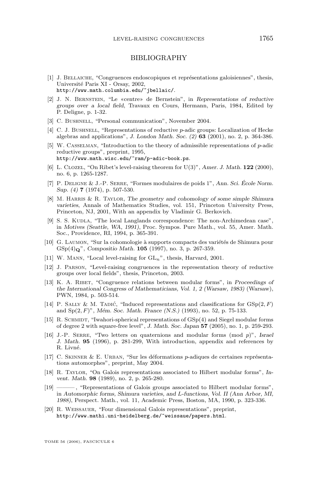#### BIBLIOGRAPHY

- <span id="page-31-0"></span>[1] J. Bellaiche, "Congruences endoscopiques et représentations galoisiennes", thesis, Université Paris XI - Orsay, 2002, http://www.math.columbia.edu/˜jbellaic/.
- [2] J. N. Bernstein, "Le «centre» de Bernstein", in *Representations of reductive groups over a local field*, Travaux en Cours, Hermann, Paris, 1984, Edited by P. Deligne, p. 1-32.
- [3] C. BUSHNELL, "Personal communication", November 2004.
- [4] C. J. BUSHNELL, "Representations of reductive p-adic groups: Localization of Hecke algebras and applications", *J. London Math. Soc. (2)* **63** (2001), no. 2, p. 364-386.
- [5] W. Casselman, "Introduction to the theory of admissible representations of p-adic reductive groups", preprint, 1995, http://www.math.wisc.edu/˜ram/p-adic-book.ps.
- [6] L. Clozel, "On Ribet's level-raising theorem for U(3)", *Amer. J. Math.* **122** (2000), no. 6, p. 1265-1287.
- [7] P. Deligne & J.-P. Serre, "Formes modulaires de poids 1", *Ann. Sci. École Norm. Sup. (4)* **7** (1974), p. 507-530.
- [8] M. Harris & R. Taylor, *The geometry and cohomology of some simple Shimura varieties*, Annals of Mathematics Studies, vol. 151, Princeton University Press, Princeton, NJ, 2001, With an appendix by Vladimir G. Berkovich.
- [9] S. S. KUDLA, "The local Langlands correspondence: The non-Archimedean case", in *Motives (Seattle, WA, 1991)*, Proc. Sympos. Pure Math., vol. 55, Amer. Math. Soc., Providence, RI, 1994, p. 365-391.
- [10] G. Laumon, "Sur la cohomologie à supports compacts des variétés de Shimura pour GSp(4)Q", *Compositio Math.* **105** (1997), no. 3, p. 267-359.
- [11] W. MANN, "Local level-raising for  $GL_n$ ", thesis, Harvard, 2001.
- [12] J. Parson, "Level-raising congruences in the representation theory of reductive groups over local fields", thesis, Princeton, 2003.
- [13] K. A. Ribet, "Congruence relations between modular forms", in *Proceedings of the International Congress of Mathematicians, Vol. 1, 2 (Warsaw, 1983)* (Warsaw), PWN, 1984, p. 503-514.
- [14] P. SALLY & M. TADIĆ, "Induced representations and classifications for  $GSp(2, F)$ and Sp(2, F)", *Mém. Soc. Math. France (N.S.)* (1993), no. 52, p. 75-133.
- [15] R. SCHMIDT, "Iwahori-spherical representations of  $GSp(4)$  and Siegel modular forms of degree 2 with square-free level", *J. Math. Soc. Japan* **57** (2005), no. 1, p. 259-293.
- [16] J.-P. Serre, "Two letters on quaternions and modular forms (mod p)", *Israel J. Math.* **95** (1996), p. 281-299, With introduction, appendix and references by R. Livné.
- [17] C. Skinner & E. Urban, "Sur les déformations p-adiques de certaines représentations automorphes", preprint, May 2004.
- [18] R. Taylor, "On Galois representations associated to Hilbert modular forms", *Invent. Math.* **98** (1989), no. 2, p. 265-280.
- [19] ——— , "Representations of Galois groups associated to Hilbert modular forms", in *Automorphic forms, Shimura varieties, and* L*-functions, Vol. II (Ann Arbor, MI, 1988)*, Perspect. Math., vol. 11, Academic Press, Boston, MA, 1990, p. 323-336.
- [20] R. Weissauer, "Four dimensional Galois representations", preprint, http://www.mathi.uni-heidelberg.de/˜weissaue/papers.html.